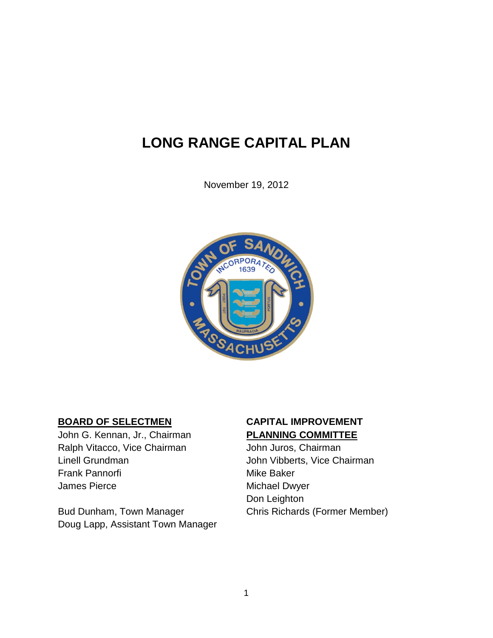## **LONG RANGE CAPITAL PLAN**

November 19, 2012



John G. Kennan, Jr., Chairman **PLANNING COMMITTEE** Ralph Vitacco, Vice Chairman John Juros, Chairman Linell Grundman **Vice Chairman** John Vibberts, Vice Chairman Frank Pannorfi **Mike Baker** Mike Baker James Pierce **Michael Dwyer** 

Bud Dunham, Town Manager Chris Richards (Former Member) Doug Lapp, Assistant Town Manager

# **BOARD OF SELECTMEN CAPITAL IMPROVEMENT**

Don Leighton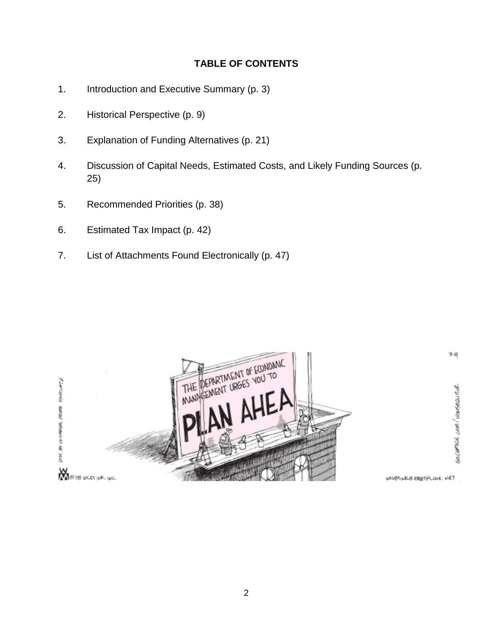#### **TABLE OF CONTENTS**

- 1. Introduction and Executive Summary (p. 3)
- 2. Historical Perspective (p. 9)
- 3. Explanation of Funding Alternatives (p. 21)
- 4. Discussion of Capital Needs, Estimated Costs, and Likely Funding Sources (p. 25)
- 5. Recommended Priorities (p. 38)
- 6. Estimated Tax Impact (p. 42)
- 7. List of Attachments Found Electronically (p. 47)



WILEMINKE EARTHLINE. WET

34

GOCEPICA COM/HONSBOUTUR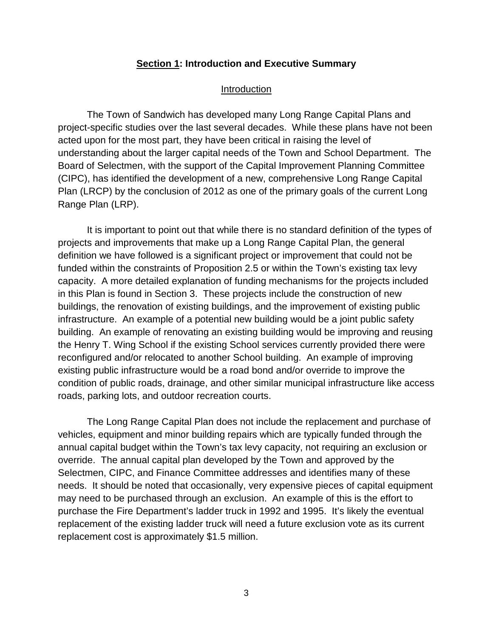#### **Section 1: Introduction and Executive Summary**

#### Introduction

The Town of Sandwich has developed many Long Range Capital Plans and project-specific studies over the last several decades. While these plans have not been acted upon for the most part, they have been critical in raising the level of understanding about the larger capital needs of the Town and School Department. The Board of Selectmen, with the support of the Capital Improvement Planning Committee (CIPC), has identified the development of a new, comprehensive Long Range Capital Plan (LRCP) by the conclusion of 2012 as one of the primary goals of the current Long Range Plan (LRP).

It is important to point out that while there is no standard definition of the types of projects and improvements that make up a Long Range Capital Plan, the general definition we have followed is a significant project or improvement that could not be funded within the constraints of Proposition 2.5 or within the Town's existing tax levy capacity. A more detailed explanation of funding mechanisms for the projects included in this Plan is found in Section 3. These projects include the construction of new buildings, the renovation of existing buildings, and the improvement of existing public infrastructure. An example of a potential new building would be a joint public safety building. An example of renovating an existing building would be improving and reusing the Henry T. Wing School if the existing School services currently provided there were reconfigured and/or relocated to another School building. An example of improving existing public infrastructure would be a road bond and/or override to improve the condition of public roads, drainage, and other similar municipal infrastructure like access roads, parking lots, and outdoor recreation courts.

The Long Range Capital Plan does not include the replacement and purchase of vehicles, equipment and minor building repairs which are typically funded through the annual capital budget within the Town's tax levy capacity, not requiring an exclusion or override. The annual capital plan developed by the Town and approved by the Selectmen, CIPC, and Finance Committee addresses and identifies many of these needs. It should be noted that occasionally, very expensive pieces of capital equipment may need to be purchased through an exclusion. An example of this is the effort to purchase the Fire Department's ladder truck in 1992 and 1995. It's likely the eventual replacement of the existing ladder truck will need a future exclusion vote as its current replacement cost is approximately \$1.5 million.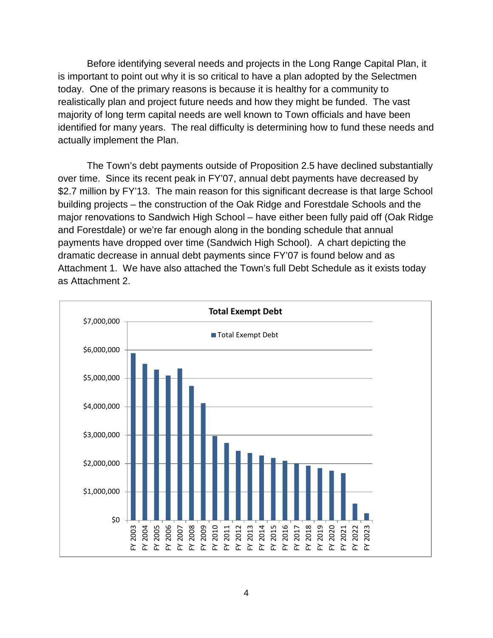Before identifying several needs and projects in the Long Range Capital Plan, it is important to point out why it is so critical to have a plan adopted by the Selectmen today. One of the primary reasons is because it is healthy for a community to realistically plan and project future needs and how they might be funded. The vast majority of long term capital needs are well known to Town officials and have been identified for many years. The real difficulty is determining how to fund these needs and actually implement the Plan.

The Town's debt payments outside of Proposition 2.5 have declined substantially over time. Since its recent peak in FY'07, annual debt payments have decreased by \$2.7 million by FY'13. The main reason for this significant decrease is that large School building projects – the construction of the Oak Ridge and Forestdale Schools and the major renovations to Sandwich High School – have either been fully paid off (Oak Ridge and Forestdale) or we're far enough along in the bonding schedule that annual payments have dropped over time (Sandwich High School). A chart depicting the dramatic decrease in annual debt payments since FY'07 is found below and as Attachment 1. We have also attached the Town's full Debt Schedule as it exists today as Attachment 2.

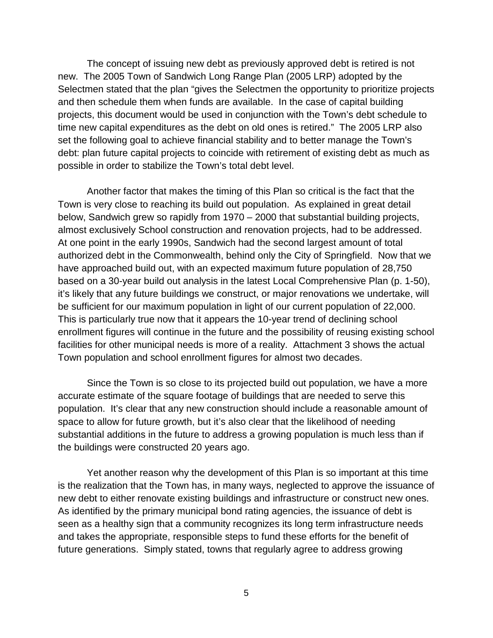The concept of issuing new debt as previously approved debt is retired is not new. The 2005 Town of Sandwich Long Range Plan (2005 LRP) adopted by the Selectmen stated that the plan "gives the Selectmen the opportunity to prioritize projects and then schedule them when funds are available. In the case of capital building projects, this document would be used in conjunction with the Town's debt schedule to time new capital expenditures as the debt on old ones is retired." The 2005 LRP also set the following goal to achieve financial stability and to better manage the Town's debt: plan future capital projects to coincide with retirement of existing debt as much as possible in order to stabilize the Town's total debt level.

Another factor that makes the timing of this Plan so critical is the fact that the Town is very close to reaching its build out population. As explained in great detail below, Sandwich grew so rapidly from 1970 – 2000 that substantial building projects, almost exclusively School construction and renovation projects, had to be addressed. At one point in the early 1990s, Sandwich had the second largest amount of total authorized debt in the Commonwealth, behind only the City of Springfield. Now that we have approached build out, with an expected maximum future population of 28,750 based on a 30-year build out analysis in the latest Local Comprehensive Plan (p. 1-50), it's likely that any future buildings we construct, or major renovations we undertake, will be sufficient for our maximum population in light of our current population of 22,000. This is particularly true now that it appears the 10-year trend of declining school enrollment figures will continue in the future and the possibility of reusing existing school facilities for other municipal needs is more of a reality. Attachment 3 shows the actual Town population and school enrollment figures for almost two decades.

Since the Town is so close to its projected build out population, we have a more accurate estimate of the square footage of buildings that are needed to serve this population. It's clear that any new construction should include a reasonable amount of space to allow for future growth, but it's also clear that the likelihood of needing substantial additions in the future to address a growing population is much less than if the buildings were constructed 20 years ago.

Yet another reason why the development of this Plan is so important at this time is the realization that the Town has, in many ways, neglected to approve the issuance of new debt to either renovate existing buildings and infrastructure or construct new ones. As identified by the primary municipal bond rating agencies, the issuance of debt is seen as a healthy sign that a community recognizes its long term infrastructure needs and takes the appropriate, responsible steps to fund these efforts for the benefit of future generations. Simply stated, towns that regularly agree to address growing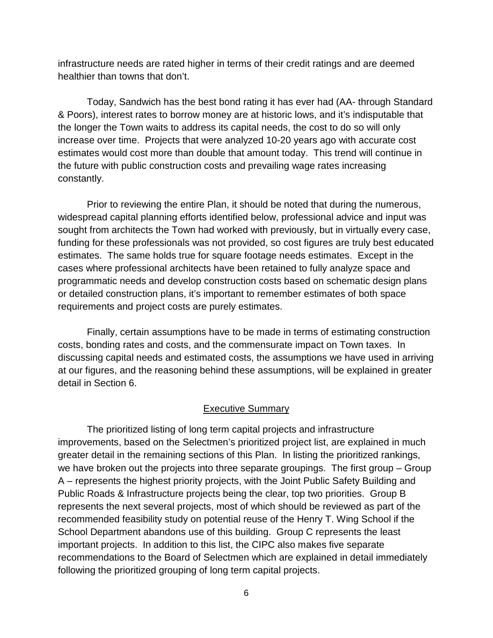infrastructure needs are rated higher in terms of their credit ratings and are deemed healthier than towns that don't.

Today, Sandwich has the best bond rating it has ever had (AA- through Standard & Poors), interest rates to borrow money are at historic lows, and it's indisputable that the longer the Town waits to address its capital needs, the cost to do so will only increase over time. Projects that were analyzed 10-20 years ago with accurate cost estimates would cost more than double that amount today. This trend will continue in the future with public construction costs and prevailing wage rates increasing constantly.

Prior to reviewing the entire Plan, it should be noted that during the numerous, widespread capital planning efforts identified below, professional advice and input was sought from architects the Town had worked with previously, but in virtually every case, funding for these professionals was not provided, so cost figures are truly best educated estimates. The same holds true for square footage needs estimates. Except in the cases where professional architects have been retained to fully analyze space and programmatic needs and develop construction costs based on schematic design plans or detailed construction plans, it's important to remember estimates of both space requirements and project costs are purely estimates.

Finally, certain assumptions have to be made in terms of estimating construction costs, bonding rates and costs, and the commensurate impact on Town taxes. In discussing capital needs and estimated costs, the assumptions we have used in arriving at our figures, and the reasoning behind these assumptions, will be explained in greater detail in Section 6.

#### Executive Summary

The prioritized listing of long term capital projects and infrastructure improvements, based on the Selectmen's prioritized project list, are explained in much greater detail in the remaining sections of this Plan. In listing the prioritized rankings, we have broken out the projects into three separate groupings. The first group – Group A – represents the highest priority projects, with the Joint Public Safety Building and Public Roads & Infrastructure projects being the clear, top two priorities. Group B represents the next several projects, most of which should be reviewed as part of the recommended feasibility study on potential reuse of the Henry T. Wing School if the School Department abandons use of this building. Group C represents the least important projects. In addition to this list, the CIPC also makes five separate recommendations to the Board of Selectmen which are explained in detail immediately following the prioritized grouping of long term capital projects.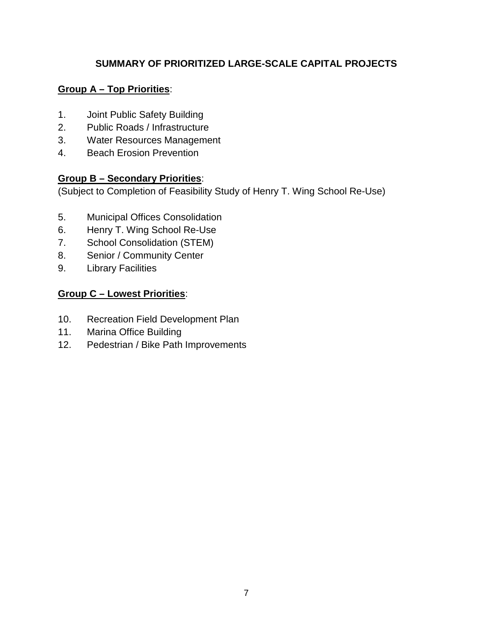#### **SUMMARY OF PRIORITIZED LARGE-SCALE CAPITAL PROJECTS**

#### **Group A – Top Priorities**:

- 1. Joint Public Safety Building
- 2. Public Roads / Infrastructure
- 3. Water Resources Management
- 4. Beach Erosion Prevention

#### **Group B – Secondary Priorities**:

(Subject to Completion of Feasibility Study of Henry T. Wing School Re-Use)

- 5. Municipal Offices Consolidation
- 6. Henry T. Wing School Re-Use
- 7. School Consolidation (STEM)
- 8. Senior / Community Center
- 9. Library Facilities

#### **Group C – Lowest Priorities**:

- 10. Recreation Field Development Plan
- 11. Marina Office Building
- 12. Pedestrian / Bike Path Improvements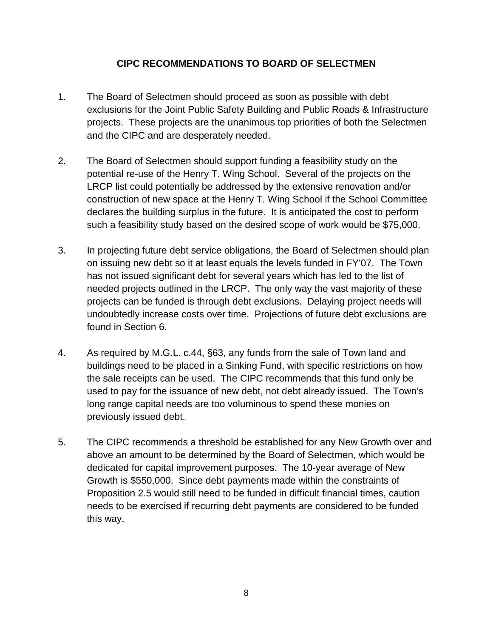#### **CIPC RECOMMENDATIONS TO BOARD OF SELECTMEN**

- 1. The Board of Selectmen should proceed as soon as possible with debt exclusions for the Joint Public Safety Building and Public Roads & Infrastructure projects. These projects are the unanimous top priorities of both the Selectmen and the CIPC and are desperately needed.
- 2. The Board of Selectmen should support funding a feasibility study on the potential re-use of the Henry T. Wing School. Several of the projects on the LRCP list could potentially be addressed by the extensive renovation and/or construction of new space at the Henry T. Wing School if the School Committee declares the building surplus in the future. It is anticipated the cost to perform such a feasibility study based on the desired scope of work would be \$75,000.
- 3. In projecting future debt service obligations, the Board of Selectmen should plan on issuing new debt so it at least equals the levels funded in FY'07. The Town has not issued significant debt for several years which has led to the list of needed projects outlined in the LRCP. The only way the vast majority of these projects can be funded is through debt exclusions. Delaying project needs will undoubtedly increase costs over time. Projections of future debt exclusions are found in Section 6.
- 4. As required by M.G.L. c.44, §63, any funds from the sale of Town land and buildings need to be placed in a Sinking Fund, with specific restrictions on how the sale receipts can be used. The CIPC recommends that this fund only be used to pay for the issuance of new debt, not debt already issued. The Town's long range capital needs are too voluminous to spend these monies on previously issued debt.
- 5. The CIPC recommends a threshold be established for any New Growth over and above an amount to be determined by the Board of Selectmen, which would be dedicated for capital improvement purposes. The 10-year average of New Growth is \$550,000. Since debt payments made within the constraints of Proposition 2.5 would still need to be funded in difficult financial times, caution needs to be exercised if recurring debt payments are considered to be funded this way.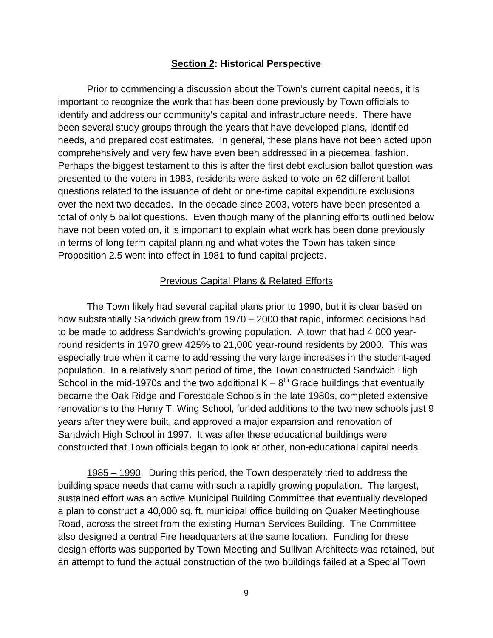#### **Section 2: Historical Perspective**

Prior to commencing a discussion about the Town's current capital needs, it is important to recognize the work that has been done previously by Town officials to identify and address our community's capital and infrastructure needs. There have been several study groups through the years that have developed plans, identified needs, and prepared cost estimates. In general, these plans have not been acted upon comprehensively and very few have even been addressed in a piecemeal fashion. Perhaps the biggest testament to this is after the first debt exclusion ballot question was presented to the voters in 1983, residents were asked to vote on 62 different ballot questions related to the issuance of debt or one-time capital expenditure exclusions over the next two decades. In the decade since 2003, voters have been presented a total of only 5 ballot questions. Even though many of the planning efforts outlined below have not been voted on, it is important to explain what work has been done previously in terms of long term capital planning and what votes the Town has taken since Proposition 2.5 went into effect in 1981 to fund capital projects.

#### Previous Capital Plans & Related Efforts

The Town likely had several capital plans prior to 1990, but it is clear based on how substantially Sandwich grew from 1970 – 2000 that rapid, informed decisions had to be made to address Sandwich's growing population. A town that had 4,000 yearround residents in 1970 grew 425% to 21,000 year-round residents by 2000. This was especially true when it came to addressing the very large increases in the student-aged population. In a relatively short period of time, the Town constructed Sandwich High School in the mid-1970s and the two additional  $K - 8^{th}$  Grade buildings that eventually became the Oak Ridge and Forestdale Schools in the late 1980s, completed extensive renovations to the Henry T. Wing School, funded additions to the two new schools just 9 years after they were built, and approved a major expansion and renovation of Sandwich High School in 1997. It was after these educational buildings were constructed that Town officials began to look at other, non-educational capital needs.

1985 – 1990. During this period, the Town desperately tried to address the building space needs that came with such a rapidly growing population. The largest, sustained effort was an active Municipal Building Committee that eventually developed a plan to construct a 40,000 sq. ft. municipal office building on Quaker Meetinghouse Road, across the street from the existing Human Services Building. The Committee also designed a central Fire headquarters at the same location. Funding for these design efforts was supported by Town Meeting and Sullivan Architects was retained, but an attempt to fund the actual construction of the two buildings failed at a Special Town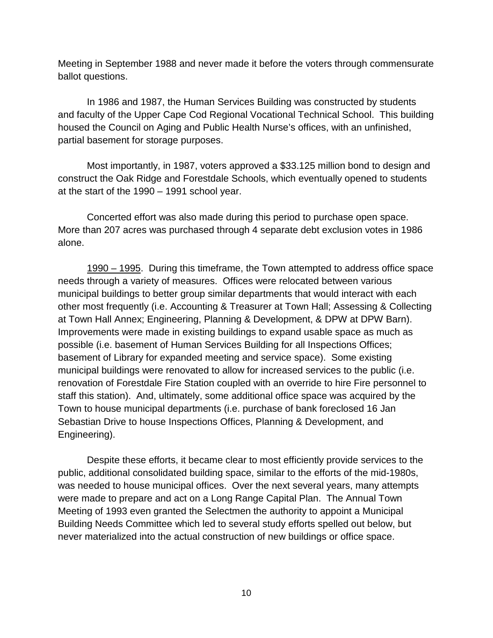Meeting in September 1988 and never made it before the voters through commensurate ballot questions.

In 1986 and 1987, the Human Services Building was constructed by students and faculty of the Upper Cape Cod Regional Vocational Technical School. This building housed the Council on Aging and Public Health Nurse's offices, with an unfinished, partial basement for storage purposes.

Most importantly, in 1987, voters approved a \$33.125 million bond to design and construct the Oak Ridge and Forestdale Schools, which eventually opened to students at the start of the 1990 – 1991 school year.

Concerted effort was also made during this period to purchase open space. More than 207 acres was purchased through 4 separate debt exclusion votes in 1986 alone.

1990 – 1995. During this timeframe, the Town attempted to address office space needs through a variety of measures. Offices were relocated between various municipal buildings to better group similar departments that would interact with each other most frequently (i.e. Accounting & Treasurer at Town Hall; Assessing & Collecting at Town Hall Annex; Engineering, Planning & Development, & DPW at DPW Barn). Improvements were made in existing buildings to expand usable space as much as possible (i.e. basement of Human Services Building for all Inspections Offices; basement of Library for expanded meeting and service space). Some existing municipal buildings were renovated to allow for increased services to the public (i.e. renovation of Forestdale Fire Station coupled with an override to hire Fire personnel to staff this station). And, ultimately, some additional office space was acquired by the Town to house municipal departments (i.e. purchase of bank foreclosed 16 Jan Sebastian Drive to house Inspections Offices, Planning & Development, and Engineering).

Despite these efforts, it became clear to most efficiently provide services to the public, additional consolidated building space, similar to the efforts of the mid-1980s, was needed to house municipal offices. Over the next several years, many attempts were made to prepare and act on a Long Range Capital Plan. The Annual Town Meeting of 1993 even granted the Selectmen the authority to appoint a Municipal Building Needs Committee which led to several study efforts spelled out below, but never materialized into the actual construction of new buildings or office space.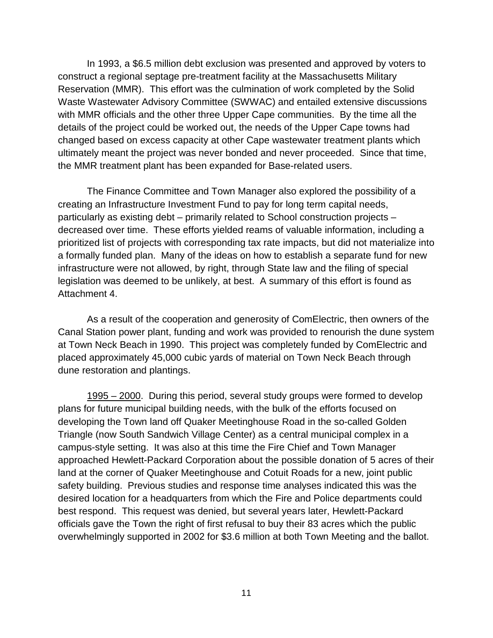In 1993, a \$6.5 million debt exclusion was presented and approved by voters to construct a regional septage pre-treatment facility at the Massachusetts Military Reservation (MMR). This effort was the culmination of work completed by the Solid Waste Wastewater Advisory Committee (SWWAC) and entailed extensive discussions with MMR officials and the other three Upper Cape communities. By the time all the details of the project could be worked out, the needs of the Upper Cape towns had changed based on excess capacity at other Cape wastewater treatment plants which ultimately meant the project was never bonded and never proceeded. Since that time, the MMR treatment plant has been expanded for Base-related users.

The Finance Committee and Town Manager also explored the possibility of a creating an Infrastructure Investment Fund to pay for long term capital needs, particularly as existing debt – primarily related to School construction projects – decreased over time. These efforts yielded reams of valuable information, including a prioritized list of projects with corresponding tax rate impacts, but did not materialize into a formally funded plan. Many of the ideas on how to establish a separate fund for new infrastructure were not allowed, by right, through State law and the filing of special legislation was deemed to be unlikely, at best. A summary of this effort is found as Attachment 4.

As a result of the cooperation and generosity of ComElectric, then owners of the Canal Station power plant, funding and work was provided to renourish the dune system at Town Neck Beach in 1990. This project was completely funded by ComElectric and placed approximately 45,000 cubic yards of material on Town Neck Beach through dune restoration and plantings.

1995 – 2000. During this period, several study groups were formed to develop plans for future municipal building needs, with the bulk of the efforts focused on developing the Town land off Quaker Meetinghouse Road in the so-called Golden Triangle (now South Sandwich Village Center) as a central municipal complex in a campus-style setting. It was also at this time the Fire Chief and Town Manager approached Hewlett-Packard Corporation about the possible donation of 5 acres of their land at the corner of Quaker Meetinghouse and Cotuit Roads for a new, joint public safety building. Previous studies and response time analyses indicated this was the desired location for a headquarters from which the Fire and Police departments could best respond. This request was denied, but several years later, Hewlett-Packard officials gave the Town the right of first refusal to buy their 83 acres which the public overwhelmingly supported in 2002 for \$3.6 million at both Town Meeting and the ballot.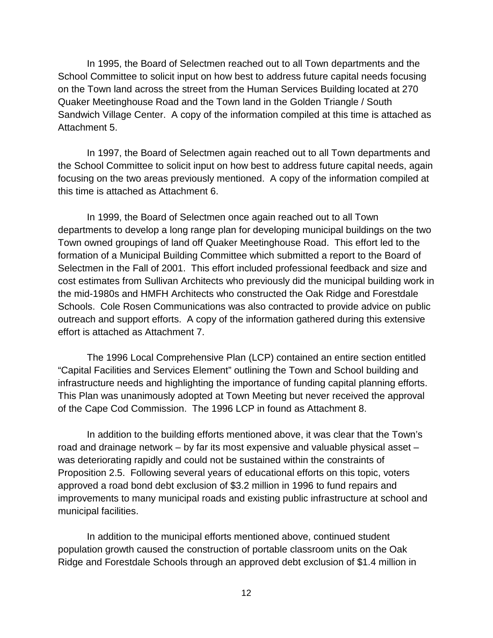In 1995, the Board of Selectmen reached out to all Town departments and the School Committee to solicit input on how best to address future capital needs focusing on the Town land across the street from the Human Services Building located at 270 Quaker Meetinghouse Road and the Town land in the Golden Triangle / South Sandwich Village Center. A copy of the information compiled at this time is attached as Attachment 5.

In 1997, the Board of Selectmen again reached out to all Town departments and the School Committee to solicit input on how best to address future capital needs, again focusing on the two areas previously mentioned. A copy of the information compiled at this time is attached as Attachment 6.

In 1999, the Board of Selectmen once again reached out to all Town departments to develop a long range plan for developing municipal buildings on the two Town owned groupings of land off Quaker Meetinghouse Road. This effort led to the formation of a Municipal Building Committee which submitted a report to the Board of Selectmen in the Fall of 2001. This effort included professional feedback and size and cost estimates from Sullivan Architects who previously did the municipal building work in the mid-1980s and HMFH Architects who constructed the Oak Ridge and Forestdale Schools. Cole Rosen Communications was also contracted to provide advice on public outreach and support efforts. A copy of the information gathered during this extensive effort is attached as Attachment 7.

The 1996 Local Comprehensive Plan (LCP) contained an entire section entitled "Capital Facilities and Services Element" outlining the Town and School building and infrastructure needs and highlighting the importance of funding capital planning efforts. This Plan was unanimously adopted at Town Meeting but never received the approval of the Cape Cod Commission. The 1996 LCP in found as Attachment 8.

In addition to the building efforts mentioned above, it was clear that the Town's road and drainage network – by far its most expensive and valuable physical asset – was deteriorating rapidly and could not be sustained within the constraints of Proposition 2.5. Following several years of educational efforts on this topic, voters approved a road bond debt exclusion of \$3.2 million in 1996 to fund repairs and improvements to many municipal roads and existing public infrastructure at school and municipal facilities.

In addition to the municipal efforts mentioned above, continued student population growth caused the construction of portable classroom units on the Oak Ridge and Forestdale Schools through an approved debt exclusion of \$1.4 million in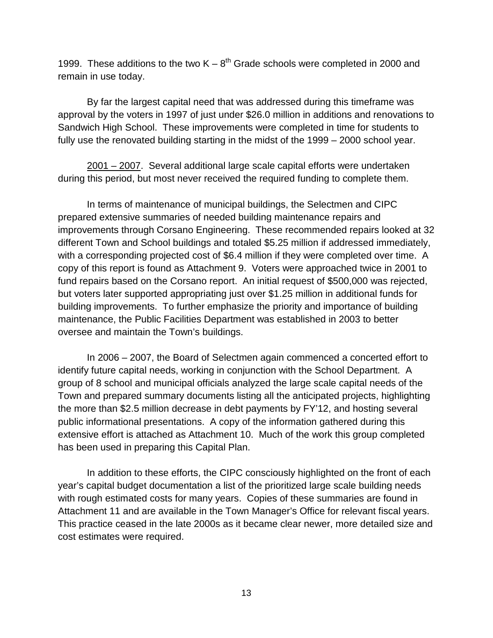1999. These additions to the two  $K - 8^{th}$  Grade schools were completed in 2000 and remain in use today.

By far the largest capital need that was addressed during this timeframe was approval by the voters in 1997 of just under \$26.0 million in additions and renovations to Sandwich High School. These improvements were completed in time for students to fully use the renovated building starting in the midst of the 1999 – 2000 school year.

2001 – 2007. Several additional large scale capital efforts were undertaken during this period, but most never received the required funding to complete them.

In terms of maintenance of municipal buildings, the Selectmen and CIPC prepared extensive summaries of needed building maintenance repairs and improvements through Corsano Engineering. These recommended repairs looked at 32 different Town and School buildings and totaled \$5.25 million if addressed immediately, with a corresponding projected cost of \$6.4 million if they were completed over time. A copy of this report is found as Attachment 9. Voters were approached twice in 2001 to fund repairs based on the Corsano report. An initial request of \$500,000 was rejected, but voters later supported appropriating just over \$1.25 million in additional funds for building improvements. To further emphasize the priority and importance of building maintenance, the Public Facilities Department was established in 2003 to better oversee and maintain the Town's buildings.

In 2006 – 2007, the Board of Selectmen again commenced a concerted effort to identify future capital needs, working in conjunction with the School Department. A group of 8 school and municipal officials analyzed the large scale capital needs of the Town and prepared summary documents listing all the anticipated projects, highlighting the more than \$2.5 million decrease in debt payments by FY'12, and hosting several public informational presentations. A copy of the information gathered during this extensive effort is attached as Attachment 10. Much of the work this group completed has been used in preparing this Capital Plan.

In addition to these efforts, the CIPC consciously highlighted on the front of each year's capital budget documentation a list of the prioritized large scale building needs with rough estimated costs for many years. Copies of these summaries are found in Attachment 11 and are available in the Town Manager's Office for relevant fiscal years. This practice ceased in the late 2000s as it became clear newer, more detailed size and cost estimates were required.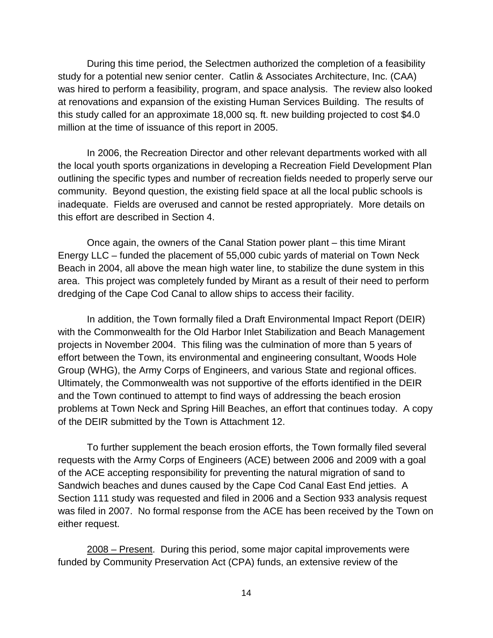During this time period, the Selectmen authorized the completion of a feasibility study for a potential new senior center. Catlin & Associates Architecture, Inc. (CAA) was hired to perform a feasibility, program, and space analysis. The review also looked at renovations and expansion of the existing Human Services Building. The results of this study called for an approximate 18,000 sq. ft. new building projected to cost \$4.0 million at the time of issuance of this report in 2005.

In 2006, the Recreation Director and other relevant departments worked with all the local youth sports organizations in developing a Recreation Field Development Plan outlining the specific types and number of recreation fields needed to properly serve our community. Beyond question, the existing field space at all the local public schools is inadequate. Fields are overused and cannot be rested appropriately. More details on this effort are described in Section 4.

Once again, the owners of the Canal Station power plant – this time Mirant Energy LLC – funded the placement of 55,000 cubic yards of material on Town Neck Beach in 2004, all above the mean high water line, to stabilize the dune system in this area. This project was completely funded by Mirant as a result of their need to perform dredging of the Cape Cod Canal to allow ships to access their facility.

In addition, the Town formally filed a Draft Environmental Impact Report (DEIR) with the Commonwealth for the Old Harbor Inlet Stabilization and Beach Management projects in November 2004. This filing was the culmination of more than 5 years of effort between the Town, its environmental and engineering consultant, Woods Hole Group (WHG), the Army Corps of Engineers, and various State and regional offices. Ultimately, the Commonwealth was not supportive of the efforts identified in the DEIR and the Town continued to attempt to find ways of addressing the beach erosion problems at Town Neck and Spring Hill Beaches, an effort that continues today. A copy of the DEIR submitted by the Town is Attachment 12.

To further supplement the beach erosion efforts, the Town formally filed several requests with the Army Corps of Engineers (ACE) between 2006 and 2009 with a goal of the ACE accepting responsibility for preventing the natural migration of sand to Sandwich beaches and dunes caused by the Cape Cod Canal East End jetties. A Section 111 study was requested and filed in 2006 and a Section 933 analysis request was filed in 2007. No formal response from the ACE has been received by the Town on either request.

2008 – Present. During this period, some major capital improvements were funded by Community Preservation Act (CPA) funds, an extensive review of the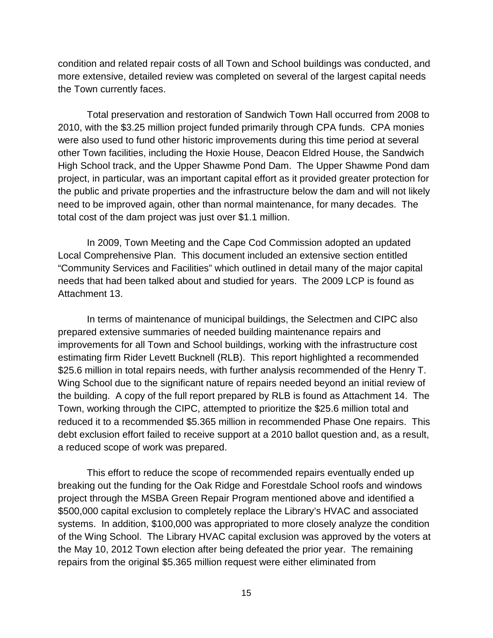condition and related repair costs of all Town and School buildings was conducted, and more extensive, detailed review was completed on several of the largest capital needs the Town currently faces.

Total preservation and restoration of Sandwich Town Hall occurred from 2008 to 2010, with the \$3.25 million project funded primarily through CPA funds. CPA monies were also used to fund other historic improvements during this time period at several other Town facilities, including the Hoxie House, Deacon Eldred House, the Sandwich High School track, and the Upper Shawme Pond Dam. The Upper Shawme Pond dam project, in particular, was an important capital effort as it provided greater protection for the public and private properties and the infrastructure below the dam and will not likely need to be improved again, other than normal maintenance, for many decades. The total cost of the dam project was just over \$1.1 million.

In 2009, Town Meeting and the Cape Cod Commission adopted an updated Local Comprehensive Plan. This document included an extensive section entitled "Community Services and Facilities" which outlined in detail many of the major capital needs that had been talked about and studied for years. The 2009 LCP is found as Attachment 13.

In terms of maintenance of municipal buildings, the Selectmen and CIPC also prepared extensive summaries of needed building maintenance repairs and improvements for all Town and School buildings, working with the infrastructure cost estimating firm Rider Levett Bucknell (RLB). This report highlighted a recommended \$25.6 million in total repairs needs, with further analysis recommended of the Henry T. Wing School due to the significant nature of repairs needed beyond an initial review of the building. A copy of the full report prepared by RLB is found as Attachment 14. The Town, working through the CIPC, attempted to prioritize the \$25.6 million total and reduced it to a recommended \$5.365 million in recommended Phase One repairs. This debt exclusion effort failed to receive support at a 2010 ballot question and, as a result, a reduced scope of work was prepared.

This effort to reduce the scope of recommended repairs eventually ended up breaking out the funding for the Oak Ridge and Forestdale School roofs and windows project through the MSBA Green Repair Program mentioned above and identified a \$500,000 capital exclusion to completely replace the Library's HVAC and associated systems. In addition, \$100,000 was appropriated to more closely analyze the condition of the Wing School. The Library HVAC capital exclusion was approved by the voters at the May 10, 2012 Town election after being defeated the prior year. The remaining repairs from the original \$5.365 million request were either eliminated from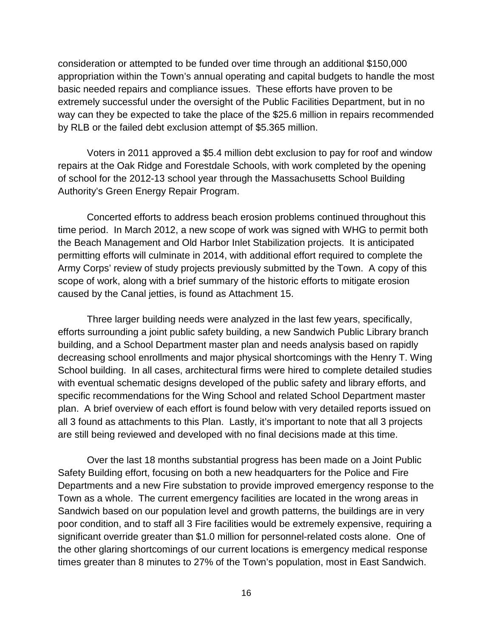consideration or attempted to be funded over time through an additional \$150,000 appropriation within the Town's annual operating and capital budgets to handle the most basic needed repairs and compliance issues. These efforts have proven to be extremely successful under the oversight of the Public Facilities Department, but in no way can they be expected to take the place of the \$25.6 million in repairs recommended by RLB or the failed debt exclusion attempt of \$5.365 million.

Voters in 2011 approved a \$5.4 million debt exclusion to pay for roof and window repairs at the Oak Ridge and Forestdale Schools, with work completed by the opening of school for the 2012-13 school year through the Massachusetts School Building Authority's Green Energy Repair Program.

Concerted efforts to address beach erosion problems continued throughout this time period. In March 2012, a new scope of work was signed with WHG to permit both the Beach Management and Old Harbor Inlet Stabilization projects. It is anticipated permitting efforts will culminate in 2014, with additional effort required to complete the Army Corps' review of study projects previously submitted by the Town. A copy of this scope of work, along with a brief summary of the historic efforts to mitigate erosion caused by the Canal jetties, is found as Attachment 15.

Three larger building needs were analyzed in the last few years, specifically, efforts surrounding a joint public safety building, a new Sandwich Public Library branch building, and a School Department master plan and needs analysis based on rapidly decreasing school enrollments and major physical shortcomings with the Henry T. Wing School building. In all cases, architectural firms were hired to complete detailed studies with eventual schematic designs developed of the public safety and library efforts, and specific recommendations for the Wing School and related School Department master plan. A brief overview of each effort is found below with very detailed reports issued on all 3 found as attachments to this Plan. Lastly, it's important to note that all 3 projects are still being reviewed and developed with no final decisions made at this time.

Over the last 18 months substantial progress has been made on a Joint Public Safety Building effort, focusing on both a new headquarters for the Police and Fire Departments and a new Fire substation to provide improved emergency response to the Town as a whole. The current emergency facilities are located in the wrong areas in Sandwich based on our population level and growth patterns, the buildings are in very poor condition, and to staff all 3 Fire facilities would be extremely expensive, requiring a significant override greater than \$1.0 million for personnel-related costs alone. One of the other glaring shortcomings of our current locations is emergency medical response times greater than 8 minutes to 27% of the Town's population, most in East Sandwich.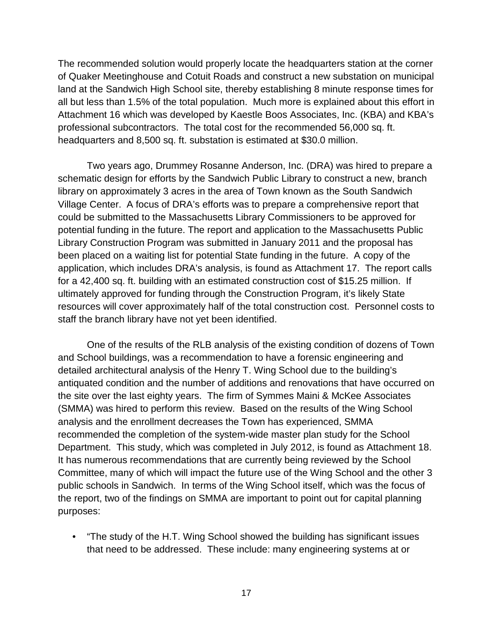The recommended solution would properly locate the headquarters station at the corner of Quaker Meetinghouse and Cotuit Roads and construct a new substation on municipal land at the Sandwich High School site, thereby establishing 8 minute response times for all but less than 1.5% of the total population. Much more is explained about this effort in Attachment 16 which was developed by Kaestle Boos Associates, Inc. (KBA) and KBA's professional subcontractors. The total cost for the recommended 56,000 sq. ft. headquarters and 8,500 sq. ft. substation is estimated at \$30.0 million.

Two years ago, Drummey Rosanne Anderson, Inc. (DRA) was hired to prepare a schematic design for efforts by the Sandwich Public Library to construct a new, branch library on approximately 3 acres in the area of Town known as the South Sandwich Village Center. A focus of DRA's efforts was to prepare a comprehensive report that could be submitted to the Massachusetts Library Commissioners to be approved for potential funding in the future. The report and application to the Massachusetts Public Library Construction Program was submitted in January 2011 and the proposal has been placed on a waiting list for potential State funding in the future. A copy of the application, which includes DRA's analysis, is found as Attachment 17. The report calls for a 42,400 sq. ft. building with an estimated construction cost of \$15.25 million. If ultimately approved for funding through the Construction Program, it's likely State resources will cover approximately half of the total construction cost. Personnel costs to staff the branch library have not yet been identified.

One of the results of the RLB analysis of the existing condition of dozens of Town and School buildings, was a recommendation to have a forensic engineering and detailed architectural analysis of the Henry T. Wing School due to the building's antiquated condition and the number of additions and renovations that have occurred on the site over the last eighty years. The firm of Symmes Maini & McKee Associates (SMMA) was hired to perform this review. Based on the results of the Wing School analysis and the enrollment decreases the Town has experienced, SMMA recommended the completion of the system-wide master plan study for the School Department. This study, which was completed in July 2012, is found as Attachment 18. It has numerous recommendations that are currently being reviewed by the School Committee, many of which will impact the future use of the Wing School and the other 3 public schools in Sandwich. In terms of the Wing School itself, which was the focus of the report, two of the findings on SMMA are important to point out for capital planning purposes:

• "The study of the H.T. Wing School showed the building has significant issues that need to be addressed. These include: many engineering systems at or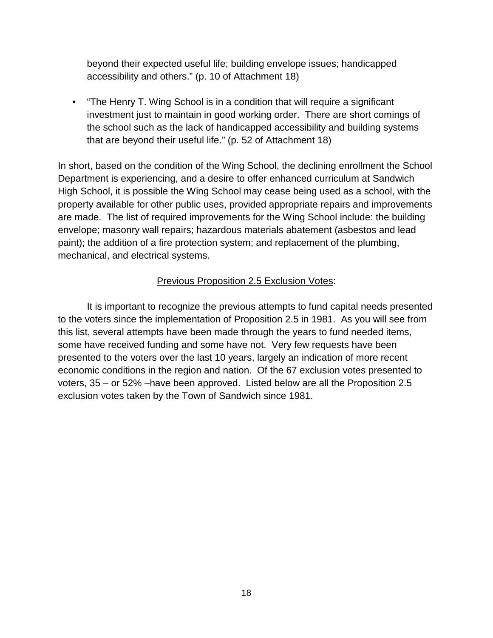beyond their expected useful life; building envelope issues; handicapped accessibility and others." (p. 10 of Attachment 18)

• "The Henry T. Wing School is in a condition that will require a significant investment just to maintain in good working order. There are short comings of the school such as the lack of handicapped accessibility and building systems that are beyond their useful life." (p. 52 of Attachment 18)

In short, based on the condition of the Wing School, the declining enrollment the School Department is experiencing, and a desire to offer enhanced curriculum at Sandwich High School, it is possible the Wing School may cease being used as a school, with the property available for other public uses, provided appropriate repairs and improvements are made. The list of required improvements for the Wing School include: the building envelope; masonry wall repairs; hazardous materials abatement (asbestos and lead paint); the addition of a fire protection system; and replacement of the plumbing, mechanical, and electrical systems.

#### Previous Proposition 2.5 Exclusion Votes:

It is important to recognize the previous attempts to fund capital needs presented to the voters since the implementation of Proposition 2.5 in 1981. As you will see from this list, several attempts have been made through the years to fund needed items, some have received funding and some have not. Very few requests have been presented to the voters over the last 10 years, largely an indication of more recent economic conditions in the region and nation. Of the 67 exclusion votes presented to voters, 35 – or 52% –have been approved. Listed below are all the Proposition 2.5 exclusion votes taken by the Town of Sandwich since 1981.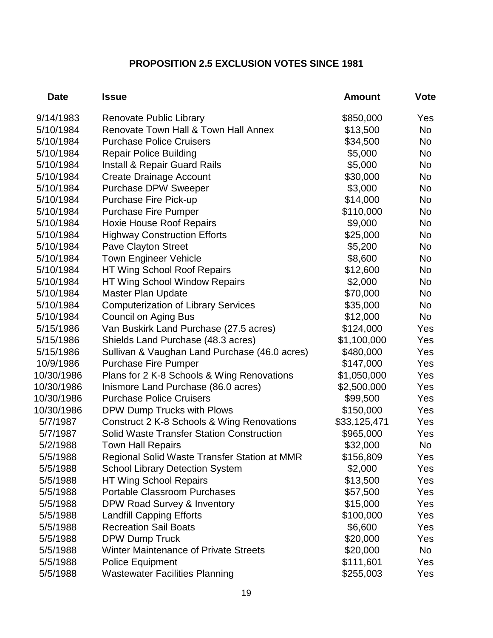#### **PROPOSITION 2.5 EXCLUSION VOTES SINCE 1981**

| <b>Date</b> | <b>Issue</b>                                     | <b>Amount</b> | <b>Vote</b> |
|-------------|--------------------------------------------------|---------------|-------------|
| 9/14/1983   | <b>Renovate Public Library</b>                   | \$850,000     | Yes         |
| 5/10/1984   | Renovate Town Hall & Town Hall Annex             | \$13,500      | No          |
| 5/10/1984   | <b>Purchase Police Cruisers</b>                  | \$34,500      | No.         |
| 5/10/1984   | <b>Repair Police Building</b>                    | \$5,000       | <b>No</b>   |
| 5/10/1984   | <b>Install &amp; Repair Guard Rails</b>          | \$5,000       | <b>No</b>   |
| 5/10/1984   | <b>Create Drainage Account</b>                   | \$30,000      | <b>No</b>   |
| 5/10/1984   | <b>Purchase DPW Sweeper</b>                      | \$3,000       | No          |
| 5/10/1984   | <b>Purchase Fire Pick-up</b>                     | \$14,000      | No.         |
| 5/10/1984   | <b>Purchase Fire Pumper</b>                      | \$110,000     | <b>No</b>   |
| 5/10/1984   | <b>Hoxie House Roof Repairs</b>                  | \$9,000       | <b>No</b>   |
| 5/10/1984   | <b>Highway Construction Efforts</b>              | \$25,000      | <b>No</b>   |
| 5/10/1984   | Pave Clayton Street                              | \$5,200       | No          |
| 5/10/1984   | <b>Town Engineer Vehicle</b>                     | \$8,600       | <b>No</b>   |
| 5/10/1984   | <b>HT Wing School Roof Repairs</b>               | \$12,600      | <b>No</b>   |
| 5/10/1984   | <b>HT Wing School Window Repairs</b>             | \$2,000       | <b>No</b>   |
| 5/10/1984   | <b>Master Plan Update</b>                        | \$70,000      | <b>No</b>   |
| 5/10/1984   | <b>Computerization of Library Services</b>       | \$35,000      | <b>No</b>   |
| 5/10/1984   | <b>Council on Aging Bus</b>                      | \$12,000      | <b>No</b>   |
| 5/15/1986   | Van Buskirk Land Purchase (27.5 acres)           | \$124,000     | Yes         |
| 5/15/1986   | Shields Land Purchase (48.3 acres)               | \$1,100,000   | Yes         |
| 5/15/1986   | Sullivan & Vaughan Land Purchase (46.0 acres)    | \$480,000     | Yes         |
| 10/9/1986   | <b>Purchase Fire Pumper</b>                      | \$147,000     | Yes         |
| 10/30/1986  | Plans for 2 K-8 Schools & Wing Renovations       | \$1,050,000   | Yes         |
| 10/30/1986  | Inismore Land Purchase (86.0 acres)              | \$2,500,000   | Yes         |
| 10/30/1986  | <b>Purchase Police Cruisers</b>                  | \$99,500      | Yes         |
| 10/30/1986  | DPW Dump Trucks with Plows                       | \$150,000     | Yes         |
| 5/7/1987    | Construct 2 K-8 Schools & Wing Renovations       | \$33,125,471  | Yes         |
| 5/7/1987    | <b>Solid Waste Transfer Station Construction</b> | \$965,000     | Yes         |
| 5/2/1988    | <b>Town Hall Repairs</b>                         | \$32,000      | No          |
| 5/5/1988    | Regional Solid Waste Transfer Station at MMR     | \$156,809     | Yes         |
| 5/5/1988    | <b>School Library Detection System</b>           | \$2,000       | Yes         |
| 5/5/1988    | <b>HT Wing School Repairs</b>                    | \$13,500      | Yes         |
| 5/5/1988    | <b>Portable Classroom Purchases</b>              | \$57,500      | Yes         |
| 5/5/1988    | DPW Road Survey & Inventory                      | \$15,000      | Yes         |
| 5/5/1988    | <b>Landfill Capping Efforts</b>                  | \$100,000     | Yes         |
| 5/5/1988    | <b>Recreation Sail Boats</b>                     | \$6,600       | Yes         |
| 5/5/1988    | <b>DPW Dump Truck</b>                            | \$20,000      | Yes         |
| 5/5/1988    | <b>Winter Maintenance of Private Streets</b>     | \$20,000      | No          |
| 5/5/1988    | <b>Police Equipment</b>                          | \$111,601     | Yes         |
| 5/5/1988    | <b>Wastewater Facilities Planning</b>            | \$255,003     | Yes         |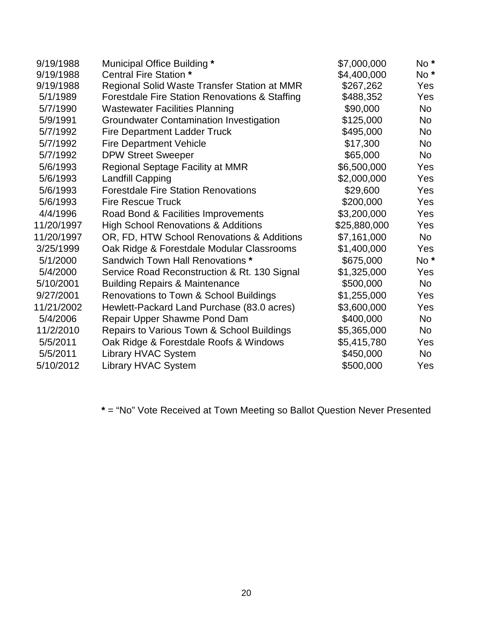| 9/19/1988  | Municipal Office Building *                    | \$7,000,000  | $No*$           |
|------------|------------------------------------------------|--------------|-----------------|
| 9/19/1988  | Central Fire Station *                         | \$4,400,000  | $No*$           |
| 9/19/1988  | Regional Solid Waste Transfer Station at MMR   | \$267,262    | Yes             |
| 5/1/1989   | Forestdale Fire Station Renovations & Staffing | \$488,352    | Yes             |
| 5/7/1990   | <b>Wastewater Facilities Planning</b>          | \$90,000     | <b>No</b>       |
| 5/9/1991   | <b>Groundwater Contamination Investigation</b> | \$125,000    | <b>No</b>       |
| 5/7/1992   | <b>Fire Department Ladder Truck</b>            | \$495,000    | <b>No</b>       |
| 5/7/1992   | <b>Fire Department Vehicle</b>                 | \$17,300     | <b>No</b>       |
| 5/7/1992   | <b>DPW Street Sweeper</b>                      | \$65,000     | <b>No</b>       |
| 5/6/1993   | Regional Septage Facility at MMR               | \$6,500,000  | Yes             |
| 5/6/1993   | <b>Landfill Capping</b>                        | \$2,000,000  | Yes             |
| 5/6/1993   | <b>Forestdale Fire Station Renovations</b>     | \$29,600     | Yes             |
| 5/6/1993   | <b>Fire Rescue Truck</b>                       | \$200,000    | <b>Yes</b>      |
| 4/4/1996   | Road Bond & Facilities Improvements            | \$3,200,000  | Yes             |
| 11/20/1997 | <b>High School Renovations &amp; Additions</b> | \$25,880,000 | Yes             |
| 11/20/1997 | OR, FD, HTW School Renovations & Additions     | \$7,161,000  | <b>No</b>       |
| 3/25/1999  | Oak Ridge & Forestdale Modular Classrooms      | \$1,400,000  | <b>Yes</b>      |
| 5/1/2000   | Sandwich Town Hall Renovations *               | \$675,000    | No <sup>*</sup> |
| 5/4/2000   | Service Road Reconstruction & Rt. 130 Signal   | \$1,325,000  | Yes             |
| 5/10/2001  | <b>Building Repairs &amp; Maintenance</b>      | \$500,000    | <b>No</b>       |
| 9/27/2001  | Renovations to Town & School Buildings         | \$1,255,000  | Yes             |
| 11/21/2002 | Hewlett-Packard Land Purchase (83.0 acres)     | \$3,600,000  | Yes             |
| 5/4/2006   | Repair Upper Shawme Pond Dam                   | \$400,000    | <b>No</b>       |
| 11/2/2010  | Repairs to Various Town & School Buildings     | \$5,365,000  | <b>No</b>       |
| 5/5/2011   | Oak Ridge & Forestdale Roofs & Windows         | \$5,415,780  | Yes             |
| 5/5/2011   | <b>Library HVAC System</b>                     | \$450,000    | <b>No</b>       |
| 5/10/2012  | Library HVAC System                            | \$500,000    | Yes             |
|            |                                                |              |                 |

**\*** = "No" Vote Received at Town Meeting so Ballot Question Never Presented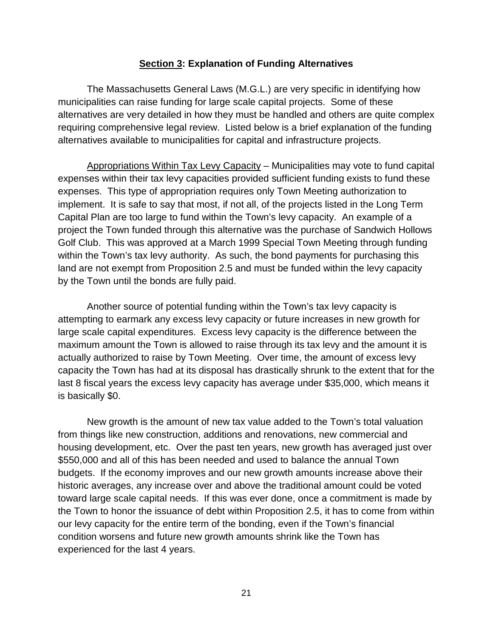#### **Section 3: Explanation of Funding Alternatives**

The Massachusetts General Laws (M.G.L.) are very specific in identifying how municipalities can raise funding for large scale capital projects. Some of these alternatives are very detailed in how they must be handled and others are quite complex requiring comprehensive legal review. Listed below is a brief explanation of the funding alternatives available to municipalities for capital and infrastructure projects.

Appropriations Within Tax Levy Capacity – Municipalities may vote to fund capital expenses within their tax levy capacities provided sufficient funding exists to fund these expenses. This type of appropriation requires only Town Meeting authorization to implement. It is safe to say that most, if not all, of the projects listed in the Long Term Capital Plan are too large to fund within the Town's levy capacity. An example of a project the Town funded through this alternative was the purchase of Sandwich Hollows Golf Club. This was approved at a March 1999 Special Town Meeting through funding within the Town's tax levy authority. As such, the bond payments for purchasing this land are not exempt from Proposition 2.5 and must be funded within the levy capacity by the Town until the bonds are fully paid.

Another source of potential funding within the Town's tax levy capacity is attempting to earmark any excess levy capacity or future increases in new growth for large scale capital expenditures. Excess levy capacity is the difference between the maximum amount the Town is allowed to raise through its tax levy and the amount it is actually authorized to raise by Town Meeting. Over time, the amount of excess levy capacity the Town has had at its disposal has drastically shrunk to the extent that for the last 8 fiscal years the excess levy capacity has average under \$35,000, which means it is basically \$0.

New growth is the amount of new tax value added to the Town's total valuation from things like new construction, additions and renovations, new commercial and housing development, etc. Over the past ten years, new growth has averaged just over \$550,000 and all of this has been needed and used to balance the annual Town budgets. If the economy improves and our new growth amounts increase above their historic averages, any increase over and above the traditional amount could be voted toward large scale capital needs. If this was ever done, once a commitment is made by the Town to honor the issuance of debt within Proposition 2.5, it has to come from within our levy capacity for the entire term of the bonding, even if the Town's financial condition worsens and future new growth amounts shrink like the Town has experienced for the last 4 years.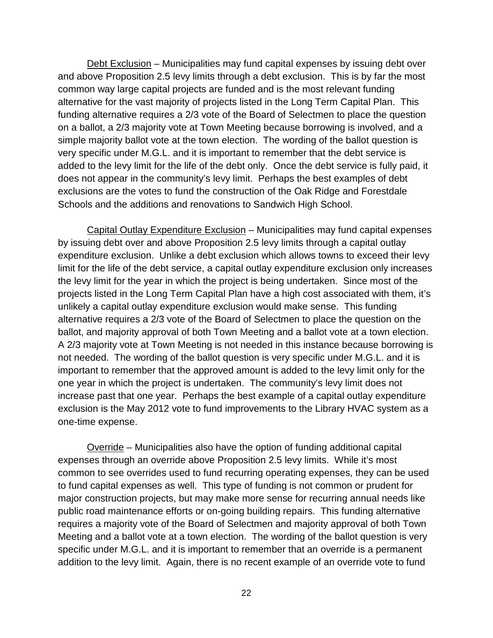Debt Exclusion – Municipalities may fund capital expenses by issuing debt over and above Proposition 2.5 levy limits through a debt exclusion. This is by far the most common way large capital projects are funded and is the most relevant funding alternative for the vast majority of projects listed in the Long Term Capital Plan. This funding alternative requires a 2/3 vote of the Board of Selectmen to place the question on a ballot, a 2/3 majority vote at Town Meeting because borrowing is involved, and a simple majority ballot vote at the town election. The wording of the ballot question is very specific under M.G.L. and it is important to remember that the debt service is added to the levy limit for the life of the debt only. Once the debt service is fully paid, it does not appear in the community's levy limit. Perhaps the best examples of debt exclusions are the votes to fund the construction of the Oak Ridge and Forestdale Schools and the additions and renovations to Sandwich High School.

Capital Outlay Expenditure Exclusion – Municipalities may fund capital expenses by issuing debt over and above Proposition 2.5 levy limits through a capital outlay expenditure exclusion. Unlike a debt exclusion which allows towns to exceed their levy limit for the life of the debt service, a capital outlay expenditure exclusion only increases the levy limit for the year in which the project is being undertaken. Since most of the projects listed in the Long Term Capital Plan have a high cost associated with them, it's unlikely a capital outlay expenditure exclusion would make sense. This funding alternative requires a 2/3 vote of the Board of Selectmen to place the question on the ballot, and majority approval of both Town Meeting and a ballot vote at a town election. A 2/3 majority vote at Town Meeting is not needed in this instance because borrowing is not needed. The wording of the ballot question is very specific under M.G.L. and it is important to remember that the approved amount is added to the levy limit only for the one year in which the project is undertaken. The community's levy limit does not increase past that one year. Perhaps the best example of a capital outlay expenditure exclusion is the May 2012 vote to fund improvements to the Library HVAC system as a one-time expense.

Override – Municipalities also have the option of funding additional capital expenses through an override above Proposition 2.5 levy limits. While it's most common to see overrides used to fund recurring operating expenses, they can be used to fund capital expenses as well. This type of funding is not common or prudent for major construction projects, but may make more sense for recurring annual needs like public road maintenance efforts or on-going building repairs. This funding alternative requires a majority vote of the Board of Selectmen and majority approval of both Town Meeting and a ballot vote at a town election. The wording of the ballot question is very specific under M.G.L. and it is important to remember that an override is a permanent addition to the levy limit. Again, there is no recent example of an override vote to fund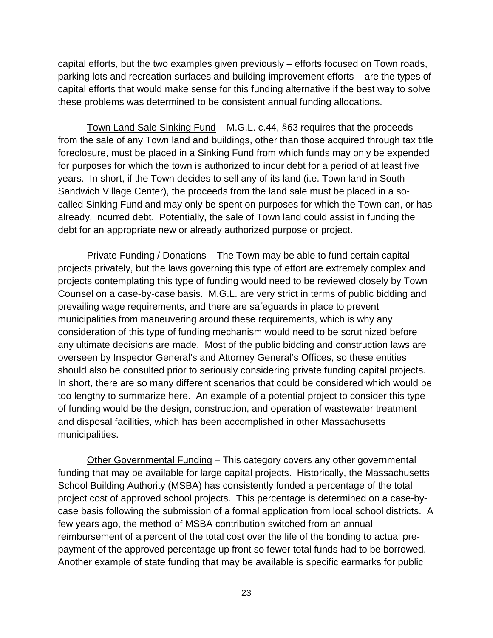capital efforts, but the two examples given previously – efforts focused on Town roads, parking lots and recreation surfaces and building improvement efforts – are the types of capital efforts that would make sense for this funding alternative if the best way to solve these problems was determined to be consistent annual funding allocations.

Town Land Sale Sinking Fund – M.G.L. c.44, §63 requires that the proceeds from the sale of any Town land and buildings, other than those acquired through tax title foreclosure, must be placed in a Sinking Fund from which funds may only be expended for purposes for which the town is authorized to incur debt for a period of at least five years. In short, if the Town decides to sell any of its land (i.e. Town land in South Sandwich Village Center), the proceeds from the land sale must be placed in a socalled Sinking Fund and may only be spent on purposes for which the Town can, or has already, incurred debt. Potentially, the sale of Town land could assist in funding the debt for an appropriate new or already authorized purpose or project.

Private Funding / Donations – The Town may be able to fund certain capital projects privately, but the laws governing this type of effort are extremely complex and projects contemplating this type of funding would need to be reviewed closely by Town Counsel on a case-by-case basis. M.G.L. are very strict in terms of public bidding and prevailing wage requirements, and there are safeguards in place to prevent municipalities from maneuvering around these requirements, which is why any consideration of this type of funding mechanism would need to be scrutinized before any ultimate decisions are made. Most of the public bidding and construction laws are overseen by Inspector General's and Attorney General's Offices, so these entities should also be consulted prior to seriously considering private funding capital projects. In short, there are so many different scenarios that could be considered which would be too lengthy to summarize here. An example of a potential project to consider this type of funding would be the design, construction, and operation of wastewater treatment and disposal facilities, which has been accomplished in other Massachusetts municipalities.

Other Governmental Funding – This category covers any other governmental funding that may be available for large capital projects. Historically, the Massachusetts School Building Authority (MSBA) has consistently funded a percentage of the total project cost of approved school projects. This percentage is determined on a case-bycase basis following the submission of a formal application from local school districts. A few years ago, the method of MSBA contribution switched from an annual reimbursement of a percent of the total cost over the life of the bonding to actual prepayment of the approved percentage up front so fewer total funds had to be borrowed. Another example of state funding that may be available is specific earmarks for public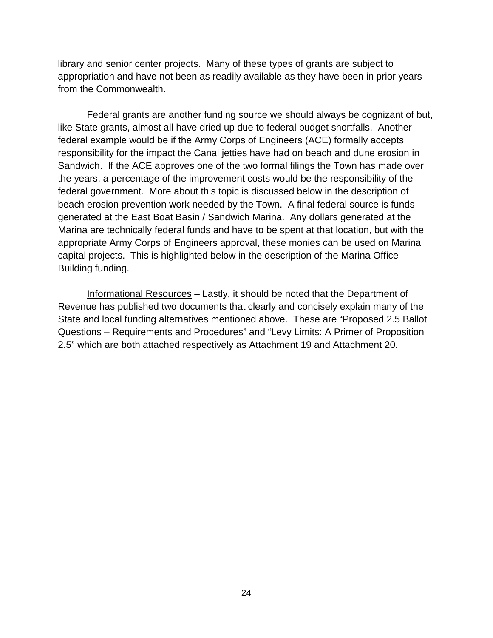library and senior center projects. Many of these types of grants are subject to appropriation and have not been as readily available as they have been in prior years from the Commonwealth.

Federal grants are another funding source we should always be cognizant of but, like State grants, almost all have dried up due to federal budget shortfalls. Another federal example would be if the Army Corps of Engineers (ACE) formally accepts responsibility for the impact the Canal jetties have had on beach and dune erosion in Sandwich. If the ACE approves one of the two formal filings the Town has made over the years, a percentage of the improvement costs would be the responsibility of the federal government. More about this topic is discussed below in the description of beach erosion prevention work needed by the Town. A final federal source is funds generated at the East Boat Basin / Sandwich Marina. Any dollars generated at the Marina are technically federal funds and have to be spent at that location, but with the appropriate Army Corps of Engineers approval, these monies can be used on Marina capital projects. This is highlighted below in the description of the Marina Office Building funding.

Informational Resources – Lastly, it should be noted that the Department of Revenue has published two documents that clearly and concisely explain many of the State and local funding alternatives mentioned above. These are "Proposed 2.5 Ballot Questions – Requirements and Procedures" and "Levy Limits: A Primer of Proposition 2.5" which are both attached respectively as Attachment 19 and Attachment 20.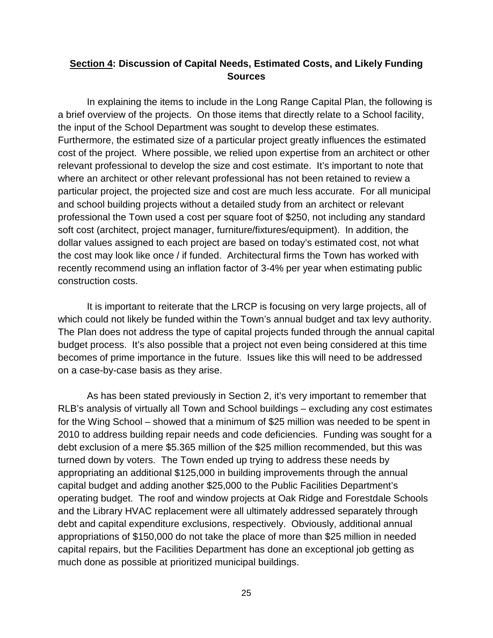#### **Section 4: Discussion of Capital Needs, Estimated Costs, and Likely Funding Sources**

In explaining the items to include in the Long Range Capital Plan, the following is a brief overview of the projects. On those items that directly relate to a School facility, the input of the School Department was sought to develop these estimates. Furthermore, the estimated size of a particular project greatly influences the estimated cost of the project. Where possible, we relied upon expertise from an architect or other relevant professional to develop the size and cost estimate. It's important to note that where an architect or other relevant professional has not been retained to review a particular project, the projected size and cost are much less accurate. For all municipal and school building projects without a detailed study from an architect or relevant professional the Town used a cost per square foot of \$250, not including any standard soft cost (architect, project manager, furniture/fixtures/equipment). In addition, the dollar values assigned to each project are based on today's estimated cost, not what the cost may look like once / if funded. Architectural firms the Town has worked with recently recommend using an inflation factor of 3-4% per year when estimating public construction costs.

It is important to reiterate that the LRCP is focusing on very large projects, all of which could not likely be funded within the Town's annual budget and tax levy authority. The Plan does not address the type of capital projects funded through the annual capital budget process. It's also possible that a project not even being considered at this time becomes of prime importance in the future. Issues like this will need to be addressed on a case-by-case basis as they arise.

As has been stated previously in Section 2, it's very important to remember that RLB's analysis of virtually all Town and School buildings – excluding any cost estimates for the Wing School – showed that a minimum of \$25 million was needed to be spent in 2010 to address building repair needs and code deficiencies. Funding was sought for a debt exclusion of a mere \$5.365 million of the \$25 million recommended, but this was turned down by voters. The Town ended up trying to address these needs by appropriating an additional \$125,000 in building improvements through the annual capital budget and adding another \$25,000 to the Public Facilities Department's operating budget. The roof and window projects at Oak Ridge and Forestdale Schools and the Library HVAC replacement were all ultimately addressed separately through debt and capital expenditure exclusions, respectively. Obviously, additional annual appropriations of \$150,000 do not take the place of more than \$25 million in needed capital repairs, but the Facilities Department has done an exceptional job getting as much done as possible at prioritized municipal buildings.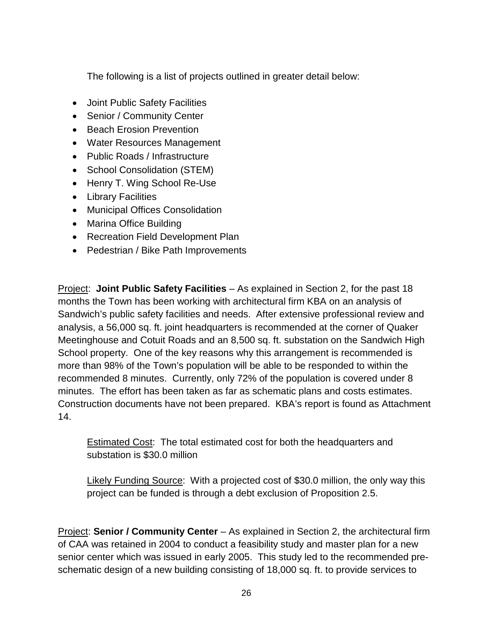The following is a list of projects outlined in greater detail below:

- Joint Public Safety Facilities
- Senior / Community Center
- Beach Erosion Prevention
- Water Resources Management
- Public Roads / Infrastructure
- School Consolidation (STEM)
- Henry T. Wing School Re-Use
- Library Facilities
- Municipal Offices Consolidation
- Marina Office Building
- Recreation Field Development Plan
- Pedestrian / Bike Path Improvements

Project: **Joint Public Safety Facilities** – As explained in Section 2, for the past 18 months the Town has been working with architectural firm KBA on an analysis of Sandwich's public safety facilities and needs. After extensive professional review and analysis, a 56,000 sq. ft. joint headquarters is recommended at the corner of Quaker Meetinghouse and Cotuit Roads and an 8,500 sq. ft. substation on the Sandwich High School property. One of the key reasons why this arrangement is recommended is more than 98% of the Town's population will be able to be responded to within the recommended 8 minutes. Currently, only 72% of the population is covered under 8 minutes. The effort has been taken as far as schematic plans and costs estimates. Construction documents have not been prepared. KBA's report is found as Attachment 14.

Estimated Cost: The total estimated cost for both the headquarters and substation is \$30.0 million

Likely Funding Source: With a projected cost of \$30.0 million, the only way this project can be funded is through a debt exclusion of Proposition 2.5.

Project: **Senior / Community Center** – As explained in Section 2, the architectural firm of CAA was retained in 2004 to conduct a feasibility study and master plan for a new senior center which was issued in early 2005. This study led to the recommended preschematic design of a new building consisting of 18,000 sq. ft. to provide services to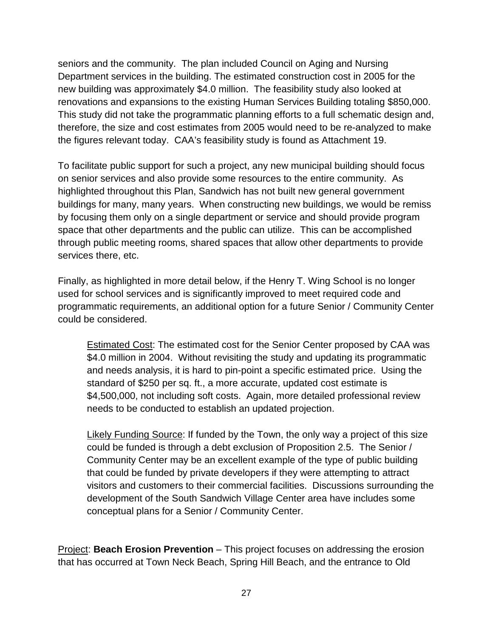seniors and the community. The plan included Council on Aging and Nursing Department services in the building. The estimated construction cost in 2005 for the new building was approximately \$4.0 million. The feasibility study also looked at renovations and expansions to the existing Human Services Building totaling \$850,000. This study did not take the programmatic planning efforts to a full schematic design and, therefore, the size and cost estimates from 2005 would need to be re-analyzed to make the figures relevant today. CAA's feasibility study is found as Attachment 19.

To facilitate public support for such a project, any new municipal building should focus on senior services and also provide some resources to the entire community. As highlighted throughout this Plan, Sandwich has not built new general government buildings for many, many years. When constructing new buildings, we would be remiss by focusing them only on a single department or service and should provide program space that other departments and the public can utilize. This can be accomplished through public meeting rooms, shared spaces that allow other departments to provide services there, etc.

Finally, as highlighted in more detail below, if the Henry T. Wing School is no longer used for school services and is significantly improved to meet required code and programmatic requirements, an additional option for a future Senior / Community Center could be considered.

Estimated Cost: The estimated cost for the Senior Center proposed by CAA was \$4.0 million in 2004. Without revisiting the study and updating its programmatic and needs analysis, it is hard to pin-point a specific estimated price. Using the standard of \$250 per sq. ft., a more accurate, updated cost estimate is \$4,500,000, not including soft costs. Again, more detailed professional review needs to be conducted to establish an updated projection.

Likely Funding Source: If funded by the Town, the only way a project of this size could be funded is through a debt exclusion of Proposition 2.5. The Senior / Community Center may be an excellent example of the type of public building that could be funded by private developers if they were attempting to attract visitors and customers to their commercial facilities. Discussions surrounding the development of the South Sandwich Village Center area have includes some conceptual plans for a Senior / Community Center.

Project: **Beach Erosion Prevention** – This project focuses on addressing the erosion that has occurred at Town Neck Beach, Spring Hill Beach, and the entrance to Old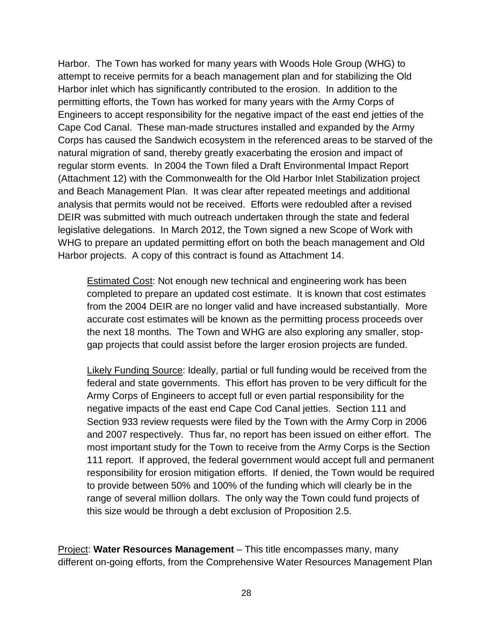Harbor. The Town has worked for many years with Woods Hole Group (WHG) to attempt to receive permits for a beach management plan and for stabilizing the Old Harbor inlet which has significantly contributed to the erosion. In addition to the permitting efforts, the Town has worked for many years with the Army Corps of Engineers to accept responsibility for the negative impact of the east end jetties of the Cape Cod Canal. These man-made structures installed and expanded by the Army Corps has caused the Sandwich ecosystem in the referenced areas to be starved of the natural migration of sand, thereby greatly exacerbating the erosion and impact of regular storm events. In 2004 the Town filed a Draft Environmental Impact Report (Attachment 12) with the Commonwealth for the Old Harbor Inlet Stabilization project and Beach Management Plan. It was clear after repeated meetings and additional analysis that permits would not be received. Efforts were redoubled after a revised DEIR was submitted with much outreach undertaken through the state and federal legislative delegations. In March 2012, the Town signed a new Scope of Work with WHG to prepare an updated permitting effort on both the beach management and Old Harbor projects. A copy of this contract is found as Attachment 14.

Estimated Cost: Not enough new technical and engineering work has been completed to prepare an updated cost estimate. It is known that cost estimates from the 2004 DEIR are no longer valid and have increased substantially. More accurate cost estimates will be known as the permitting process proceeds over the next 18 months. The Town and WHG are also exploring any smaller, stopgap projects that could assist before the larger erosion projects are funded.

Likely Funding Source: Ideally, partial or full funding would be received from the federal and state governments. This effort has proven to be very difficult for the Army Corps of Engineers to accept full or even partial responsibility for the negative impacts of the east end Cape Cod Canal jetties. Section 111 and Section 933 review requests were filed by the Town with the Army Corp in 2006 and 2007 respectively. Thus far, no report has been issued on either effort. The most important study for the Town to receive from the Army Corps is the Section 111 report. If approved, the federal government would accept full and permanent responsibility for erosion mitigation efforts. If denied, the Town would be required to provide between 50% and 100% of the funding which will clearly be in the range of several million dollars. The only way the Town could fund projects of this size would be through a debt exclusion of Proposition 2.5.

Project: **Water Resources Management** – This title encompasses many, many different on-going efforts, from the Comprehensive Water Resources Management Plan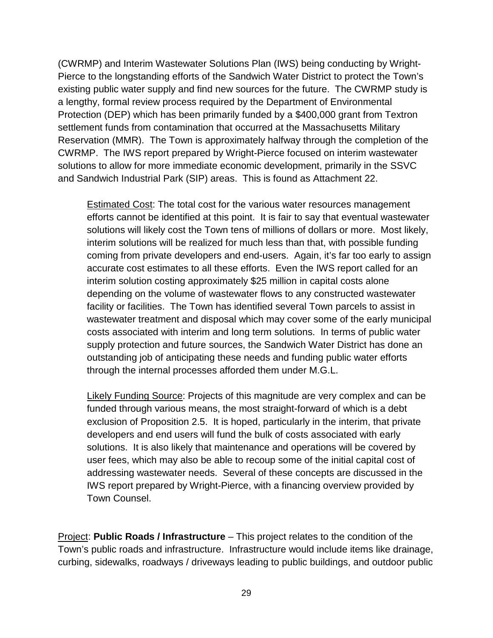(CWRMP) and Interim Wastewater Solutions Plan (IWS) being conducting by Wright-Pierce to the longstanding efforts of the Sandwich Water District to protect the Town's existing public water supply and find new sources for the future. The CWRMP study is a lengthy, formal review process required by the Department of Environmental Protection (DEP) which has been primarily funded by a \$400,000 grant from Textron settlement funds from contamination that occurred at the Massachusetts Military Reservation (MMR). The Town is approximately halfway through the completion of the CWRMP. The IWS report prepared by Wright-Pierce focused on interim wastewater solutions to allow for more immediate economic development, primarily in the SSVC and Sandwich Industrial Park (SIP) areas. This is found as Attachment 22.

Estimated Cost: The total cost for the various water resources management efforts cannot be identified at this point. It is fair to say that eventual wastewater solutions will likely cost the Town tens of millions of dollars or more. Most likely, interim solutions will be realized for much less than that, with possible funding coming from private developers and end-users. Again, it's far too early to assign accurate cost estimates to all these efforts. Even the IWS report called for an interim solution costing approximately \$25 million in capital costs alone depending on the volume of wastewater flows to any constructed wastewater facility or facilities. The Town has identified several Town parcels to assist in wastewater treatment and disposal which may cover some of the early municipal costs associated with interim and long term solutions. In terms of public water supply protection and future sources, the Sandwich Water District has done an outstanding job of anticipating these needs and funding public water efforts through the internal processes afforded them under M.G.L.

Likely Funding Source: Projects of this magnitude are very complex and can be funded through various means, the most straight-forward of which is a debt exclusion of Proposition 2.5. It is hoped, particularly in the interim, that private developers and end users will fund the bulk of costs associated with early solutions. It is also likely that maintenance and operations will be covered by user fees, which may also be able to recoup some of the initial capital cost of addressing wastewater needs. Several of these concepts are discussed in the IWS report prepared by Wright-Pierce, with a financing overview provided by Town Counsel.

Project: **Public Roads / Infrastructure** – This project relates to the condition of the Town's public roads and infrastructure. Infrastructure would include items like drainage, curbing, sidewalks, roadways / driveways leading to public buildings, and outdoor public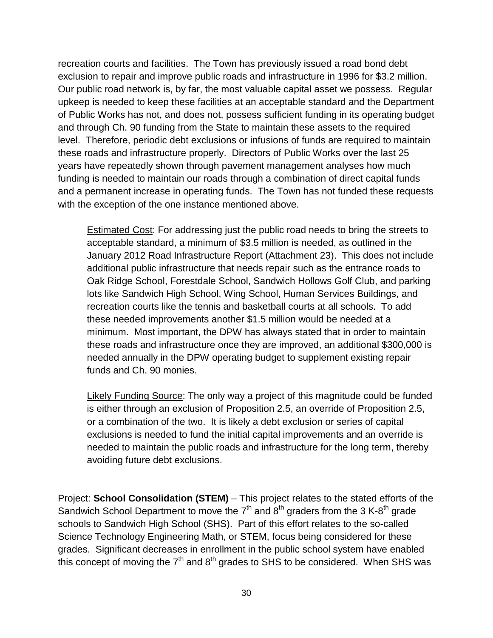recreation courts and facilities. The Town has previously issued a road bond debt exclusion to repair and improve public roads and infrastructure in 1996 for \$3.2 million. Our public road network is, by far, the most valuable capital asset we possess. Regular upkeep is needed to keep these facilities at an acceptable standard and the Department of Public Works has not, and does not, possess sufficient funding in its operating budget and through Ch. 90 funding from the State to maintain these assets to the required level. Therefore, periodic debt exclusions or infusions of funds are required to maintain these roads and infrastructure properly. Directors of Public Works over the last 25 years have repeatedly shown through pavement management analyses how much funding is needed to maintain our roads through a combination of direct capital funds and a permanent increase in operating funds. The Town has not funded these requests with the exception of the one instance mentioned above.

**Estimated Cost:** For addressing just the public road needs to bring the streets to acceptable standard, a minimum of \$3.5 million is needed, as outlined in the January 2012 Road Infrastructure Report (Attachment 23). This does not include additional public infrastructure that needs repair such as the entrance roads to Oak Ridge School, Forestdale School, Sandwich Hollows Golf Club, and parking lots like Sandwich High School, Wing School, Human Services Buildings, and recreation courts like the tennis and basketball courts at all schools. To add these needed improvements another \$1.5 million would be needed at a minimum. Most important, the DPW has always stated that in order to maintain these roads and infrastructure once they are improved, an additional \$300,000 is needed annually in the DPW operating budget to supplement existing repair funds and Ch. 90 monies.

Likely Funding Source: The only way a project of this magnitude could be funded is either through an exclusion of Proposition 2.5, an override of Proposition 2.5, or a combination of the two. It is likely a debt exclusion or series of capital exclusions is needed to fund the initial capital improvements and an override is needed to maintain the public roads and infrastructure for the long term, thereby avoiding future debt exclusions.

Project: **School Consolidation (STEM)** – This project relates to the stated efforts of the Sandwich School Department to move the  $7<sup>th</sup>$  and  $8<sup>th</sup>$  graders from the 3 K-8<sup>th</sup> grade schools to Sandwich High School (SHS). Part of this effort relates to the so-called Science Technology Engineering Math, or STEM, focus being considered for these grades. Significant decreases in enrollment in the public school system have enabled this concept of moving the  $7<sup>th</sup>$  and  $8<sup>th</sup>$  grades to SHS to be considered. When SHS was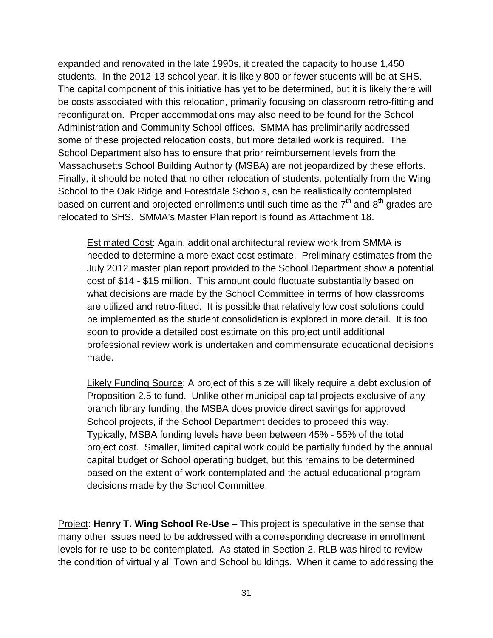expanded and renovated in the late 1990s, it created the capacity to house 1,450 students. In the 2012-13 school year, it is likely 800 or fewer students will be at SHS. The capital component of this initiative has yet to be determined, but it is likely there will be costs associated with this relocation, primarily focusing on classroom retro-fitting and reconfiguration. Proper accommodations may also need to be found for the School Administration and Community School offices. SMMA has preliminarily addressed some of these projected relocation costs, but more detailed work is required. The School Department also has to ensure that prior reimbursement levels from the Massachusetts School Building Authority (MSBA) are not jeopardized by these efforts. Finally, it should be noted that no other relocation of students, potentially from the Wing School to the Oak Ridge and Forestdale Schools, can be realistically contemplated based on current and projected enrollments until such time as the  $7<sup>th</sup>$  and  $8<sup>th</sup>$  grades are relocated to SHS. SMMA's Master Plan report is found as Attachment 18.

Estimated Cost: Again, additional architectural review work from SMMA is needed to determine a more exact cost estimate. Preliminary estimates from the July 2012 master plan report provided to the School Department show a potential cost of \$14 - \$15 million. This amount could fluctuate substantially based on what decisions are made by the School Committee in terms of how classrooms are utilized and retro-fitted. It is possible that relatively low cost solutions could be implemented as the student consolidation is explored in more detail. It is too soon to provide a detailed cost estimate on this project until additional professional review work is undertaken and commensurate educational decisions made.

Likely Funding Source: A project of this size will likely require a debt exclusion of Proposition 2.5 to fund. Unlike other municipal capital projects exclusive of any branch library funding, the MSBA does provide direct savings for approved School projects, if the School Department decides to proceed this way. Typically, MSBA funding levels have been between 45% - 55% of the total project cost. Smaller, limited capital work could be partially funded by the annual capital budget or School operating budget, but this remains to be determined based on the extent of work contemplated and the actual educational program decisions made by the School Committee.

Project: **Henry T. Wing School Re-Use** – This project is speculative in the sense that many other issues need to be addressed with a corresponding decrease in enrollment levels for re-use to be contemplated. As stated in Section 2, RLB was hired to review the condition of virtually all Town and School buildings. When it came to addressing the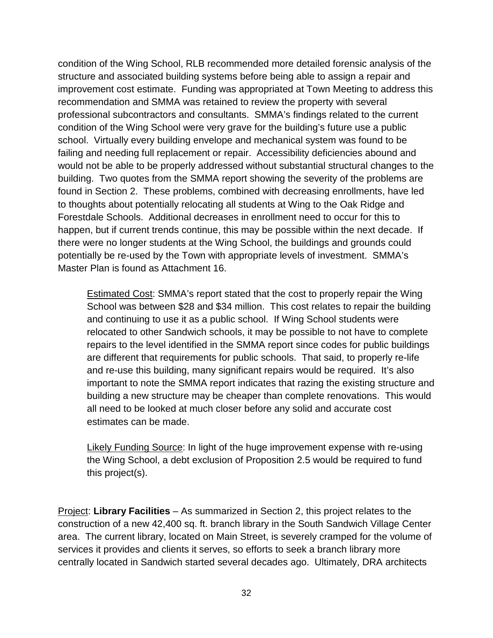condition of the Wing School, RLB recommended more detailed forensic analysis of the structure and associated building systems before being able to assign a repair and improvement cost estimate. Funding was appropriated at Town Meeting to address this recommendation and SMMA was retained to review the property with several professional subcontractors and consultants. SMMA's findings related to the current condition of the Wing School were very grave for the building's future use a public school. Virtually every building envelope and mechanical system was found to be failing and needing full replacement or repair. Accessibility deficiencies abound and would not be able to be properly addressed without substantial structural changes to the building. Two quotes from the SMMA report showing the severity of the problems are found in Section 2. These problems, combined with decreasing enrollments, have led to thoughts about potentially relocating all students at Wing to the Oak Ridge and Forestdale Schools. Additional decreases in enrollment need to occur for this to happen, but if current trends continue, this may be possible within the next decade. If there were no longer students at the Wing School, the buildings and grounds could potentially be re-used by the Town with appropriate levels of investment. SMMA's Master Plan is found as Attachment 16.

Estimated Cost: SMMA's report stated that the cost to properly repair the Wing School was between \$28 and \$34 million. This cost relates to repair the building and continuing to use it as a public school. If Wing School students were relocated to other Sandwich schools, it may be possible to not have to complete repairs to the level identified in the SMMA report since codes for public buildings are different that requirements for public schools. That said, to properly re-life and re-use this building, many significant repairs would be required. It's also important to note the SMMA report indicates that razing the existing structure and building a new structure may be cheaper than complete renovations. This would all need to be looked at much closer before any solid and accurate cost estimates can be made.

Likely Funding Source: In light of the huge improvement expense with re-using the Wing School, a debt exclusion of Proposition 2.5 would be required to fund this project(s).

Project: **Library Facilities** – As summarized in Section 2, this project relates to the construction of a new 42,400 sq. ft. branch library in the South Sandwich Village Center area. The current library, located on Main Street, is severely cramped for the volume of services it provides and clients it serves, so efforts to seek a branch library more centrally located in Sandwich started several decades ago. Ultimately, DRA architects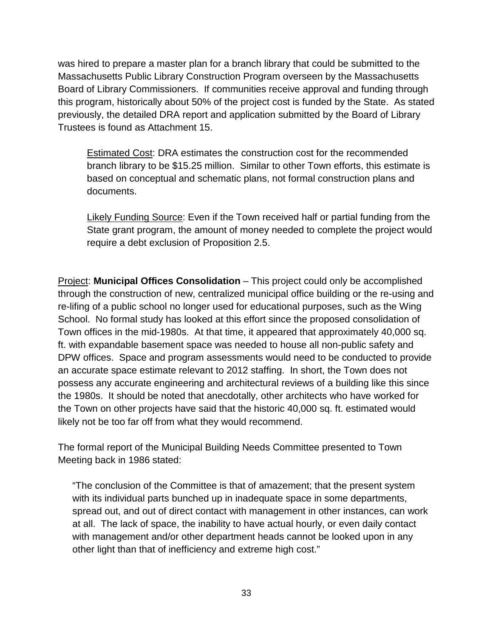was hired to prepare a master plan for a branch library that could be submitted to the Massachusetts Public Library Construction Program overseen by the Massachusetts Board of Library Commissioners. If communities receive approval and funding through this program, historically about 50% of the project cost is funded by the State. As stated previously, the detailed DRA report and application submitted by the Board of Library Trustees is found as Attachment 15.

Estimated Cost: DRA estimates the construction cost for the recommended branch library to be \$15.25 million. Similar to other Town efforts, this estimate is based on conceptual and schematic plans, not formal construction plans and documents.

Likely Funding Source: Even if the Town received half or partial funding from the State grant program, the amount of money needed to complete the project would require a debt exclusion of Proposition 2.5.

Project: **Municipal Offices Consolidation** – This project could only be accomplished through the construction of new, centralized municipal office building or the re-using and re-lifing of a public school no longer used for educational purposes, such as the Wing School. No formal study has looked at this effort since the proposed consolidation of Town offices in the mid-1980s. At that time, it appeared that approximately 40,000 sq. ft. with expandable basement space was needed to house all non-public safety and DPW offices. Space and program assessments would need to be conducted to provide an accurate space estimate relevant to 2012 staffing. In short, the Town does not possess any accurate engineering and architectural reviews of a building like this since the 1980s. It should be noted that anecdotally, other architects who have worked for the Town on other projects have said that the historic 40,000 sq. ft. estimated would likely not be too far off from what they would recommend.

The formal report of the Municipal Building Needs Committee presented to Town Meeting back in 1986 stated:

"The conclusion of the Committee is that of amazement; that the present system with its individual parts bunched up in inadequate space in some departments, spread out, and out of direct contact with management in other instances, can work at all. The lack of space, the inability to have actual hourly, or even daily contact with management and/or other department heads cannot be looked upon in any other light than that of inefficiency and extreme high cost."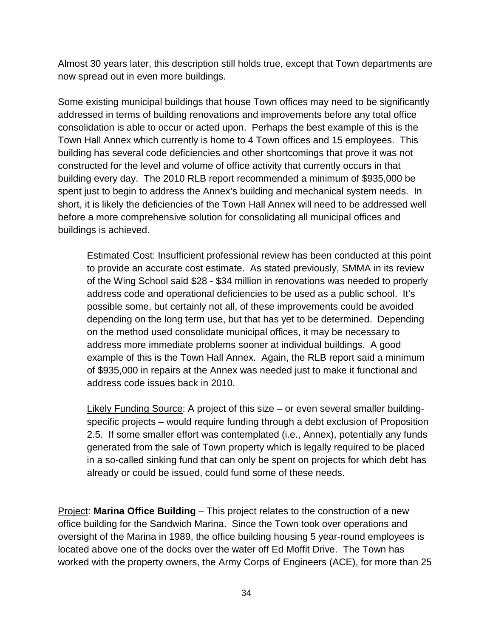Almost 30 years later, this description still holds true, except that Town departments are now spread out in even more buildings.

Some existing municipal buildings that house Town offices may need to be significantly addressed in terms of building renovations and improvements before any total office consolidation is able to occur or acted upon. Perhaps the best example of this is the Town Hall Annex which currently is home to 4 Town offices and 15 employees. This building has several code deficiencies and other shortcomings that prove it was not constructed for the level and volume of office activity that currently occurs in that building every day. The 2010 RLB report recommended a minimum of \$935,000 be spent just to begin to address the Annex's building and mechanical system needs. In short, it is likely the deficiencies of the Town Hall Annex will need to be addressed well before a more comprehensive solution for consolidating all municipal offices and buildings is achieved.

Estimated Cost: Insufficient professional review has been conducted at this point to provide an accurate cost estimate. As stated previously, SMMA in its review of the Wing School said \$28 - \$34 million in renovations was needed to properly address code and operational deficiencies to be used as a public school. It's possible some, but certainly not all, of these improvements could be avoided depending on the long term use, but that has yet to be determined. Depending on the method used consolidate municipal offices, it may be necessary to address more immediate problems sooner at individual buildings. A good example of this is the Town Hall Annex. Again, the RLB report said a minimum of \$935,000 in repairs at the Annex was needed just to make it functional and address code issues back in 2010.

Likely Funding Source: A project of this size – or even several smaller buildingspecific projects – would require funding through a debt exclusion of Proposition 2.5. If some smaller effort was contemplated (i.e., Annex), potentially any funds generated from the sale of Town property which is legally required to be placed in a so-called sinking fund that can only be spent on projects for which debt has already or could be issued, could fund some of these needs.

Project: **Marina Office Building** – This project relates to the construction of a new office building for the Sandwich Marina. Since the Town took over operations and oversight of the Marina in 1989, the office building housing 5 year-round employees is located above one of the docks over the water off Ed Moffit Drive. The Town has worked with the property owners, the Army Corps of Engineers (ACE), for more than 25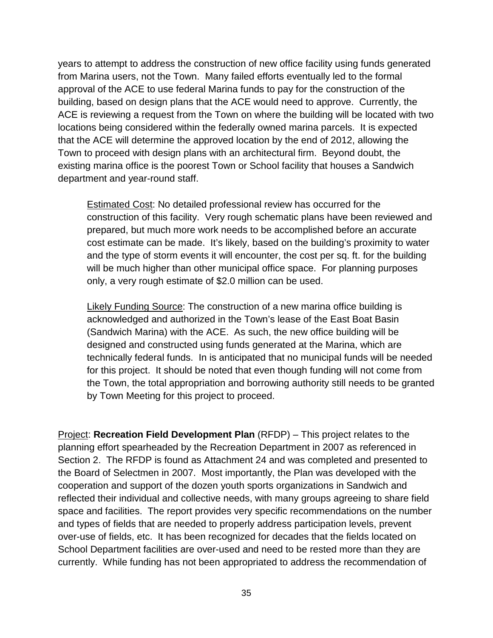years to attempt to address the construction of new office facility using funds generated from Marina users, not the Town. Many failed efforts eventually led to the formal approval of the ACE to use federal Marina funds to pay for the construction of the building, based on design plans that the ACE would need to approve. Currently, the ACE is reviewing a request from the Town on where the building will be located with two locations being considered within the federally owned marina parcels. It is expected that the ACE will determine the approved location by the end of 2012, allowing the Town to proceed with design plans with an architectural firm. Beyond doubt, the existing marina office is the poorest Town or School facility that houses a Sandwich department and year-round staff.

Estimated Cost: No detailed professional review has occurred for the construction of this facility. Very rough schematic plans have been reviewed and prepared, but much more work needs to be accomplished before an accurate cost estimate can be made. It's likely, based on the building's proximity to water and the type of storm events it will encounter, the cost per sq. ft. for the building will be much higher than other municipal office space. For planning purposes only, a very rough estimate of \$2.0 million can be used.

Likely Funding Source: The construction of a new marina office building is acknowledged and authorized in the Town's lease of the East Boat Basin (Sandwich Marina) with the ACE. As such, the new office building will be designed and constructed using funds generated at the Marina, which are technically federal funds. In is anticipated that no municipal funds will be needed for this project. It should be noted that even though funding will not come from the Town, the total appropriation and borrowing authority still needs to be granted by Town Meeting for this project to proceed.

Project: **Recreation Field Development Plan** (RFDP) – This project relates to the planning effort spearheaded by the Recreation Department in 2007 as referenced in Section 2. The RFDP is found as Attachment 24 and was completed and presented to the Board of Selectmen in 2007. Most importantly, the Plan was developed with the cooperation and support of the dozen youth sports organizations in Sandwich and reflected their individual and collective needs, with many groups agreeing to share field space and facilities. The report provides very specific recommendations on the number and types of fields that are needed to properly address participation levels, prevent over-use of fields, etc. It has been recognized for decades that the fields located on School Department facilities are over-used and need to be rested more than they are currently. While funding has not been appropriated to address the recommendation of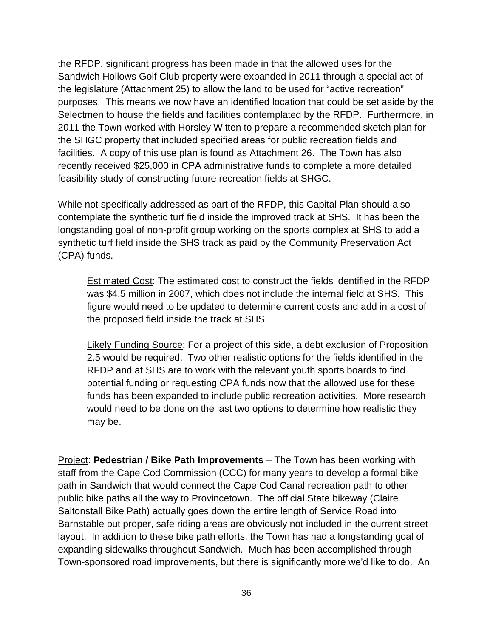the RFDP, significant progress has been made in that the allowed uses for the Sandwich Hollows Golf Club property were expanded in 2011 through a special act of the legislature (Attachment 25) to allow the land to be used for "active recreation" purposes. This means we now have an identified location that could be set aside by the Selectmen to house the fields and facilities contemplated by the RFDP. Furthermore, in 2011 the Town worked with Horsley Witten to prepare a recommended sketch plan for the SHGC property that included specified areas for public recreation fields and facilities. A copy of this use plan is found as Attachment 26. The Town has also recently received \$25,000 in CPA administrative funds to complete a more detailed feasibility study of constructing future recreation fields at SHGC.

While not specifically addressed as part of the RFDP, this Capital Plan should also contemplate the synthetic turf field inside the improved track at SHS. It has been the longstanding goal of non-profit group working on the sports complex at SHS to add a synthetic turf field inside the SHS track as paid by the Community Preservation Act (CPA) funds.

Estimated Cost: The estimated cost to construct the fields identified in the RFDP was \$4.5 million in 2007, which does not include the internal field at SHS. This figure would need to be updated to determine current costs and add in a cost of the proposed field inside the track at SHS.

Likely Funding Source: For a project of this side, a debt exclusion of Proposition 2.5 would be required. Two other realistic options for the fields identified in the RFDP and at SHS are to work with the relevant youth sports boards to find potential funding or requesting CPA funds now that the allowed use for these funds has been expanded to include public recreation activities. More research would need to be done on the last two options to determine how realistic they may be.

Project: **Pedestrian / Bike Path Improvements** – The Town has been working with staff from the Cape Cod Commission (CCC) for many years to develop a formal bike path in Sandwich that would connect the Cape Cod Canal recreation path to other public bike paths all the way to Provincetown. The official State bikeway (Claire Saltonstall Bike Path) actually goes down the entire length of Service Road into Barnstable but proper, safe riding areas are obviously not included in the current street layout. In addition to these bike path efforts, the Town has had a longstanding goal of expanding sidewalks throughout Sandwich. Much has been accomplished through Town-sponsored road improvements, but there is significantly more we'd like to do. An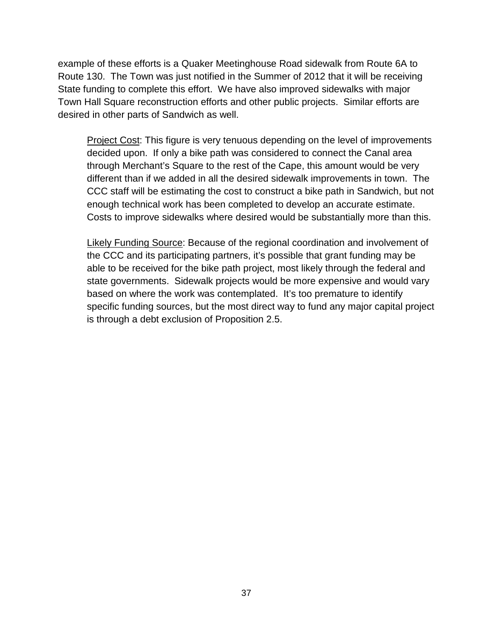example of these efforts is a Quaker Meetinghouse Road sidewalk from Route 6A to Route 130. The Town was just notified in the Summer of 2012 that it will be receiving State funding to complete this effort. We have also improved sidewalks with major Town Hall Square reconstruction efforts and other public projects. Similar efforts are desired in other parts of Sandwich as well.

Project Cost: This figure is very tenuous depending on the level of improvements decided upon. If only a bike path was considered to connect the Canal area through Merchant's Square to the rest of the Cape, this amount would be very different than if we added in all the desired sidewalk improvements in town. The CCC staff will be estimating the cost to construct a bike path in Sandwich, but not enough technical work has been completed to develop an accurate estimate. Costs to improve sidewalks where desired would be substantially more than this.

Likely Funding Source: Because of the regional coordination and involvement of the CCC and its participating partners, it's possible that grant funding may be able to be received for the bike path project, most likely through the federal and state governments. Sidewalk projects would be more expensive and would vary based on where the work was contemplated. It's too premature to identify specific funding sources, but the most direct way to fund any major capital project is through a debt exclusion of Proposition 2.5.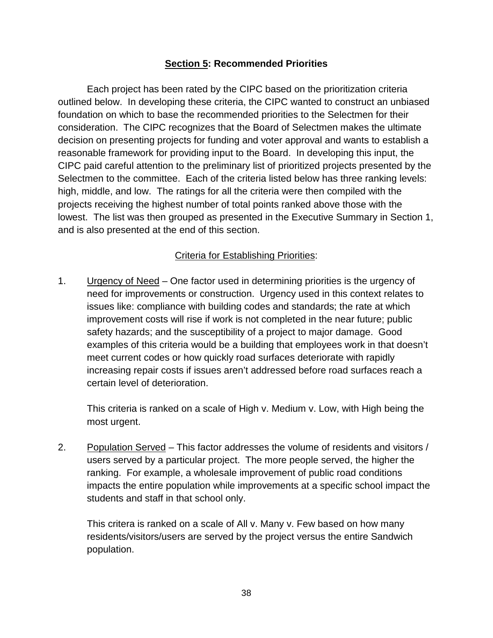#### **Section 5: Recommended Priorities**

Each project has been rated by the CIPC based on the prioritization criteria outlined below. In developing these criteria, the CIPC wanted to construct an unbiased foundation on which to base the recommended priorities to the Selectmen for their consideration. The CIPC recognizes that the Board of Selectmen makes the ultimate decision on presenting projects for funding and voter approval and wants to establish a reasonable framework for providing input to the Board. In developing this input, the CIPC paid careful attention to the preliminary list of prioritized projects presented by the Selectmen to the committee. Each of the criteria listed below has three ranking levels: high, middle, and low. The ratings for all the criteria were then compiled with the projects receiving the highest number of total points ranked above those with the lowest. The list was then grouped as presented in the Executive Summary in Section 1, and is also presented at the end of this section.

#### Criteria for Establishing Priorities:

1. Urgency of Need – One factor used in determining priorities is the urgency of need for improvements or construction. Urgency used in this context relates to issues like: compliance with building codes and standards; the rate at which improvement costs will rise if work is not completed in the near future; public safety hazards; and the susceptibility of a project to major damage. Good examples of this criteria would be a building that employees work in that doesn't meet current codes or how quickly road surfaces deteriorate with rapidly increasing repair costs if issues aren't addressed before road surfaces reach a certain level of deterioration.

This criteria is ranked on a scale of High v. Medium v. Low, with High being the most urgent.

2. Population Served – This factor addresses the volume of residents and visitors / users served by a particular project. The more people served, the higher the ranking. For example, a wholesale improvement of public road conditions impacts the entire population while improvements at a specific school impact the students and staff in that school only.

This critera is ranked on a scale of All v. Many v. Few based on how many residents/visitors/users are served by the project versus the entire Sandwich population.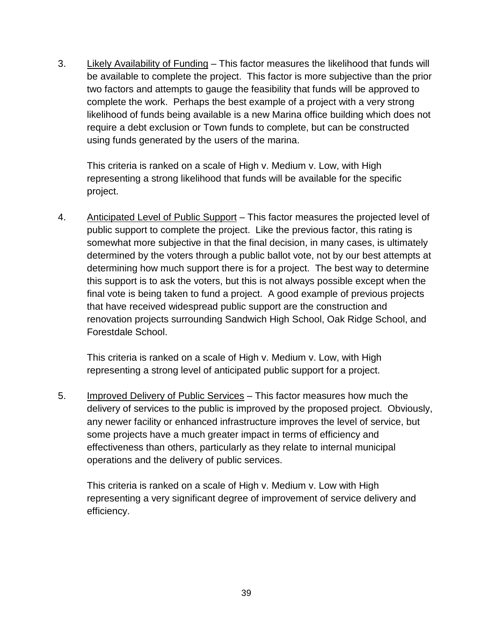3. Likely Availability of Funding – This factor measures the likelihood that funds will be available to complete the project. This factor is more subjective than the prior two factors and attempts to gauge the feasibility that funds will be approved to complete the work. Perhaps the best example of a project with a very strong likelihood of funds being available is a new Marina office building which does not require a debt exclusion or Town funds to complete, but can be constructed using funds generated by the users of the marina.

This criteria is ranked on a scale of High v. Medium v. Low, with High representing a strong likelihood that funds will be available for the specific project.

4. Anticipated Level of Public Support – This factor measures the projected level of public support to complete the project. Like the previous factor, this rating is somewhat more subjective in that the final decision, in many cases, is ultimately determined by the voters through a public ballot vote, not by our best attempts at determining how much support there is for a project. The best way to determine this support is to ask the voters, but this is not always possible except when the final vote is being taken to fund a project. A good example of previous projects that have received widespread public support are the construction and renovation projects surrounding Sandwich High School, Oak Ridge School, and Forestdale School.

This criteria is ranked on a scale of High v. Medium v. Low, with High representing a strong level of anticipated public support for a project.

5. Improved Delivery of Public Services – This factor measures how much the delivery of services to the public is improved by the proposed project. Obviously, any newer facility or enhanced infrastructure improves the level of service, but some projects have a much greater impact in terms of efficiency and effectiveness than others, particularly as they relate to internal municipal operations and the delivery of public services.

This criteria is ranked on a scale of High v. Medium v. Low with High representing a very significant degree of improvement of service delivery and efficiency.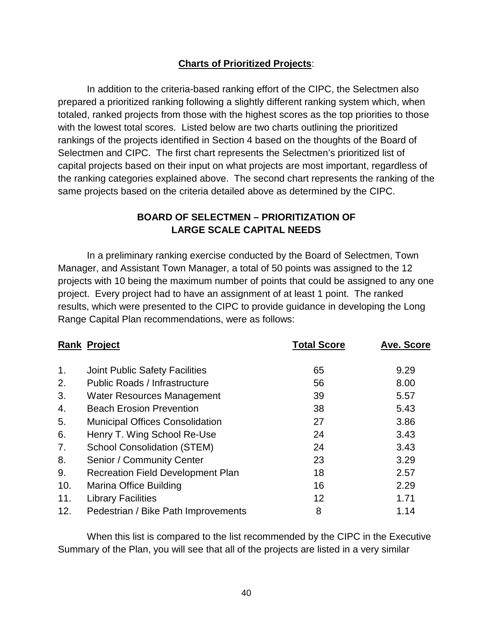#### **Charts of Prioritized Projects**:

In addition to the criteria-based ranking effort of the CIPC, the Selectmen also prepared a prioritized ranking following a slightly different ranking system which, when totaled, ranked projects from those with the highest scores as the top priorities to those with the lowest total scores. Listed below are two charts outlining the prioritized rankings of the projects identified in Section 4 based on the thoughts of the Board of Selectmen and CIPC. The first chart represents the Selectmen's prioritized list of capital projects based on their input on what projects are most important, regardless of the ranking categories explained above. The second chart represents the ranking of the same projects based on the criteria detailed above as determined by the CIPC.

#### **BOARD OF SELECTMEN – PRIORITIZATION OF LARGE SCALE CAPITAL NEEDS**

In a preliminary ranking exercise conducted by the Board of Selectmen, Town Manager, and Assistant Town Manager, a total of 50 points was assigned to the 12 projects with 10 being the maximum number of points that could be assigned to any one project. Every project had to have an assignment of at least 1 point. The ranked results, which were presented to the CIPC to provide guidance in developing the Long Range Capital Plan recommendations, were as follows:

|     | <b>Rank Project</b>                      | <b>Total Score</b> | <b>Ave. Score</b> |
|-----|------------------------------------------|--------------------|-------------------|
| 1.  | <b>Joint Public Safety Facilities</b>    | 65                 | 9.29              |
| 2.  | <b>Public Roads / Infrastructure</b>     | 56                 | 8.00              |
| 3.  | <b>Water Resources Management</b>        | 39                 | 5.57              |
| 4.  | <b>Beach Erosion Prevention</b>          | 38                 | 5.43              |
| 5.  | <b>Municipal Offices Consolidation</b>   | 27                 | 3.86              |
| 6.  | Henry T. Wing School Re-Use              | 24                 | 3.43              |
| 7.  | <b>School Consolidation (STEM)</b>       | 24                 | 3.43              |
| 8.  | Senior / Community Center                | 23                 | 3.29              |
| 9.  | <b>Recreation Field Development Plan</b> | 18                 | 2.57              |
| 10. | Marina Office Building                   | 16                 | 2.29              |
| 11. | <b>Library Facilities</b>                | 12                 | 1.71              |
| 12. | Pedestrian / Bike Path Improvements      | 8                  | 1.14              |

When this list is compared to the list recommended by the CIPC in the Executive Summary of the Plan, you will see that all of the projects are listed in a very similar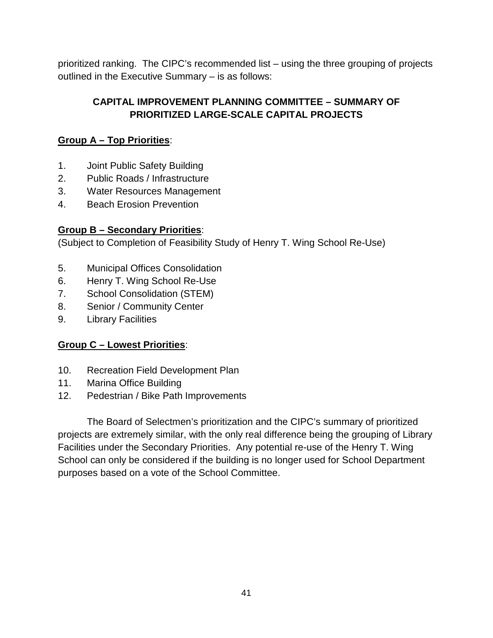prioritized ranking. The CIPC's recommended list – using the three grouping of projects outlined in the Executive Summary – is as follows:

#### **CAPITAL IMPROVEMENT PLANNING COMMITTEE – SUMMARY OF PRIORITIZED LARGE-SCALE CAPITAL PROJECTS**

#### **Group A – Top Priorities**:

- 1. Joint Public Safety Building
- 2. Public Roads / Infrastructure
- 3. Water Resources Management
- 4. Beach Erosion Prevention

#### **Group B – Secondary Priorities**:

(Subject to Completion of Feasibility Study of Henry T. Wing School Re-Use)

- 5. Municipal Offices Consolidation
- 6. Henry T. Wing School Re-Use
- 7. School Consolidation (STEM)
- 8. Senior / Community Center
- 9. Library Facilities

### **Group C – Lowest Priorities**:

- 10. Recreation Field Development Plan
- 11. Marina Office Building
- 12. Pedestrian / Bike Path Improvements

The Board of Selectmen's prioritization and the CIPC's summary of prioritized projects are extremely similar, with the only real difference being the grouping of Library Facilities under the Secondary Priorities. Any potential re-use of the Henry T. Wing School can only be considered if the building is no longer used for School Department purposes based on a vote of the School Committee.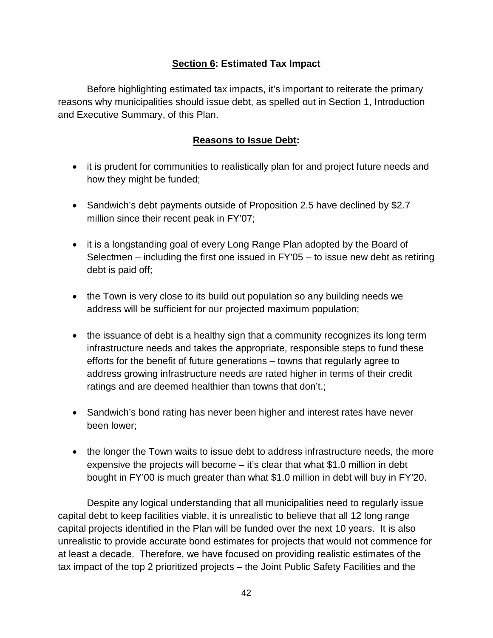#### **Section 6: Estimated Tax Impact**

Before highlighting estimated tax impacts, it's important to reiterate the primary reasons why municipalities should issue debt, as spelled out in Section 1, Introduction and Executive Summary, of this Plan.

#### **Reasons to Issue Debt:**

- it is prudent for communities to realistically plan for and project future needs and how they might be funded;
- Sandwich's debt payments outside of Proposition 2.5 have declined by \$2.7 million since their recent peak in FY'07;
- it is a longstanding goal of every Long Range Plan adopted by the Board of Selectmen – including the first one issued in FY'05 – to issue new debt as retiring debt is paid off;
- the Town is very close to its build out population so any building needs we address will be sufficient for our projected maximum population;
- the issuance of debt is a healthy sign that a community recognizes its long term infrastructure needs and takes the appropriate, responsible steps to fund these efforts for the benefit of future generations – towns that regularly agree to address growing infrastructure needs are rated higher in terms of their credit ratings and are deemed healthier than towns that don't.;
- Sandwich's bond rating has never been higher and interest rates have never been lower;
- the longer the Town waits to issue debt to address infrastructure needs, the more expensive the projects will become – it's clear that what \$1.0 million in debt bought in FY'00 is much greater than what \$1.0 million in debt will buy in FY'20.

Despite any logical understanding that all municipalities need to regularly issue capital debt to keep facilities viable, it is unrealistic to believe that all 12 long range capital projects identified in the Plan will be funded over the next 10 years. It is also unrealistic to provide accurate bond estimates for projects that would not commence for at least a decade. Therefore, we have focused on providing realistic estimates of the tax impact of the top 2 prioritized projects – the Joint Public Safety Facilities and the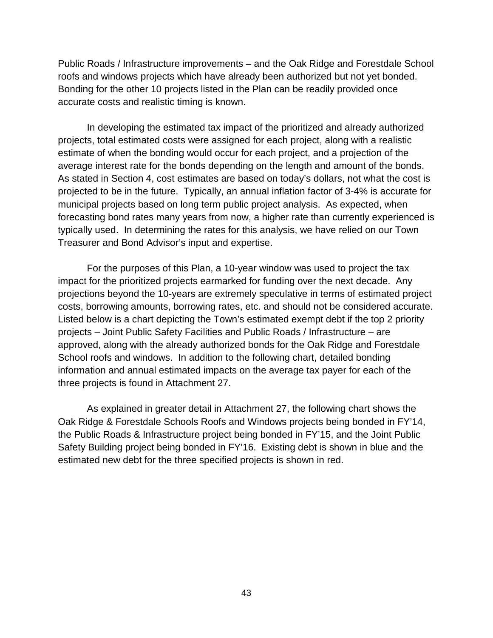Public Roads / Infrastructure improvements – and the Oak Ridge and Forestdale School roofs and windows projects which have already been authorized but not yet bonded. Bonding for the other 10 projects listed in the Plan can be readily provided once accurate costs and realistic timing is known.

In developing the estimated tax impact of the prioritized and already authorized projects, total estimated costs were assigned for each project, along with a realistic estimate of when the bonding would occur for each project, and a projection of the average interest rate for the bonds depending on the length and amount of the bonds. As stated in Section 4, cost estimates are based on today's dollars, not what the cost is projected to be in the future. Typically, an annual inflation factor of 3-4% is accurate for municipal projects based on long term public project analysis. As expected, when forecasting bond rates many years from now, a higher rate than currently experienced is typically used. In determining the rates for this analysis, we have relied on our Town Treasurer and Bond Advisor's input and expertise.

For the purposes of this Plan, a 10-year window was used to project the tax impact for the prioritized projects earmarked for funding over the next decade. Any projections beyond the 10-years are extremely speculative in terms of estimated project costs, borrowing amounts, borrowing rates, etc. and should not be considered accurate. Listed below is a chart depicting the Town's estimated exempt debt if the top 2 priority projects – Joint Public Safety Facilities and Public Roads / Infrastructure – are approved, along with the already authorized bonds for the Oak Ridge and Forestdale School roofs and windows. In addition to the following chart, detailed bonding information and annual estimated impacts on the average tax payer for each of the three projects is found in Attachment 27.

As explained in greater detail in Attachment 27, the following chart shows the Oak Ridge & Forestdale Schools Roofs and Windows projects being bonded in FY'14, the Public Roads & Infrastructure project being bonded in FY'15, and the Joint Public Safety Building project being bonded in FY'16. Existing debt is shown in blue and the estimated new debt for the three specified projects is shown in red.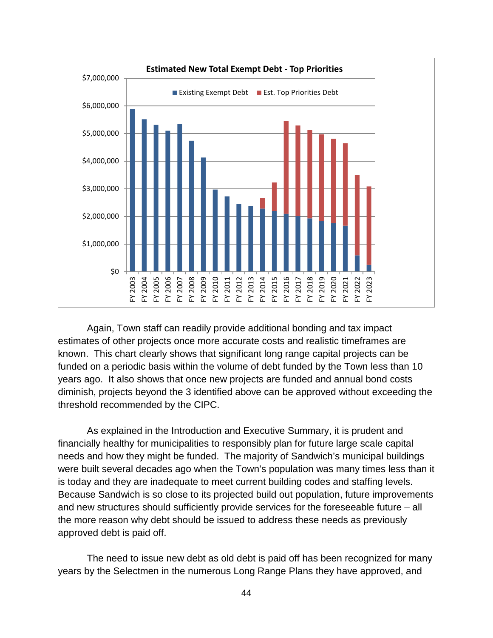

Again, Town staff can readily provide additional bonding and tax impact estimates of other projects once more accurate costs and realistic timeframes are known. This chart clearly shows that significant long range capital projects can be funded on a periodic basis within the volume of debt funded by the Town less than 10 years ago. It also shows that once new projects are funded and annual bond costs diminish, projects beyond the 3 identified above can be approved without exceeding the threshold recommended by the CIPC.

As explained in the Introduction and Executive Summary, it is prudent and financially healthy for municipalities to responsibly plan for future large scale capital needs and how they might be funded. The majority of Sandwich's municipal buildings were built several decades ago when the Town's population was many times less than it is today and they are inadequate to meet current building codes and staffing levels. Because Sandwich is so close to its projected build out population, future improvements and new structures should sufficiently provide services for the foreseeable future – all the more reason why debt should be issued to address these needs as previously approved debt is paid off.

The need to issue new debt as old debt is paid off has been recognized for many years by the Selectmen in the numerous Long Range Plans they have approved, and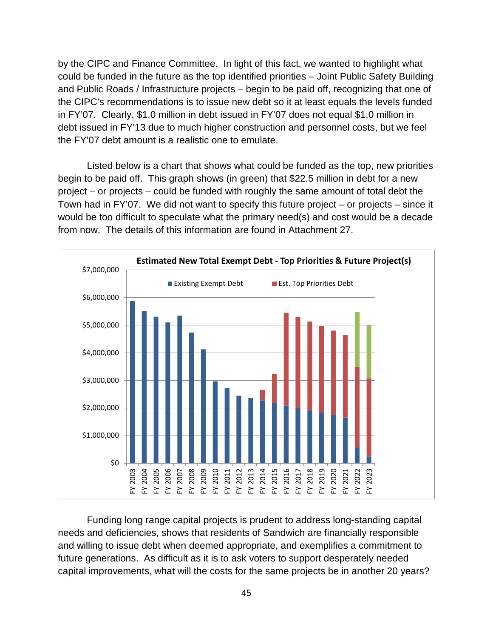by the CIPC and Finance Committee. In light of this fact, we wanted to highlight what could be funded in the future as the top identified priorities – Joint Public Safety Building and Public Roads / Infrastructure projects – begin to be paid off, recognizing that one of the CIPC's recommendations is to issue new debt so it at least equals the levels funded in FY'07. Clearly, \$1.0 million in debt issued in FY'07 does not equal \$1.0 million in debt issued in FY'13 due to much higher construction and personnel costs, but we feel the FY'07 debt amount is a realistic one to emulate.

Listed below is a chart that shows what could be funded as the top, new priorities begin to be paid off. This graph shows (in green) that \$22.5 million in debt for a new project – or projects – could be funded with roughly the same amount of total debt the Town had in FY'07. We did not want to specify this future project – or projects – since it would be too difficult to speculate what the primary need(s) and cost would be a decade from now. The details of this information are found in Attachment 27.



Funding long range capital projects is prudent to address long-standing capital needs and deficiencies, shows that residents of Sandwich are financially responsible and willing to issue debt when deemed appropriate, and exemplifies a commitment to future generations. As difficult as it is to ask voters to support desperately needed capital improvements, what will the costs for the same projects be in another 20 years?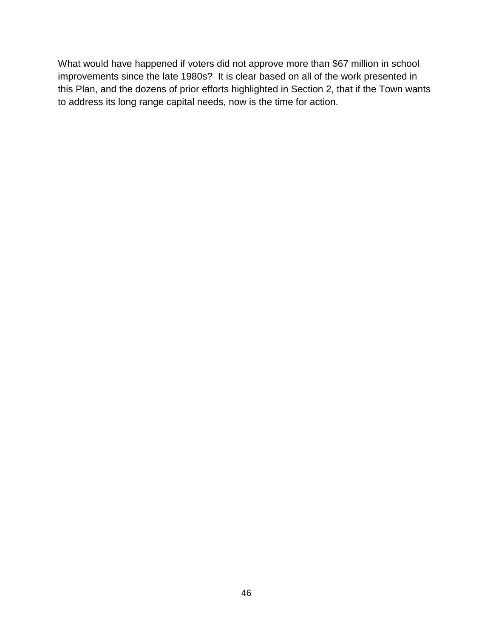What would have happened if voters did not approve more than \$67 million in school improvements since the late 1980s? It is clear based on all of the work presented in this Plan, and the dozens of prior efforts highlighted in Section 2, that if the Town wants to address its long range capital needs, now is the time for action.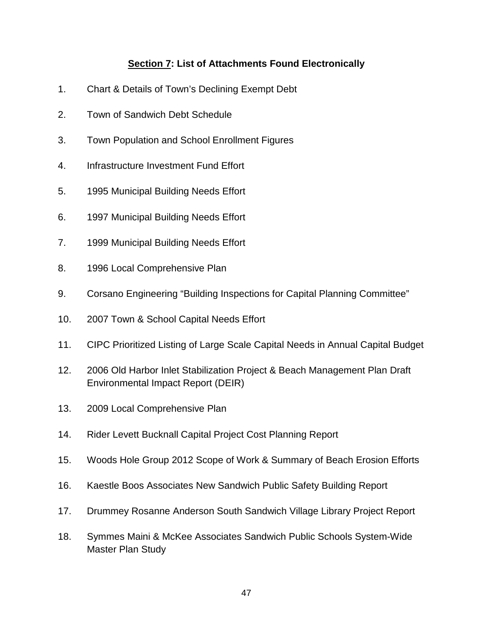#### **Section 7: List of Attachments Found Electronically**

- 1. Chart & Details of Town's Declining Exempt Debt
- 2. Town of Sandwich Debt Schedule
- 3. Town Population and School Enrollment Figures
- 4. Infrastructure Investment Fund Effort
- 5. 1995 Municipal Building Needs Effort
- 6. 1997 Municipal Building Needs Effort
- 7. 1999 Municipal Building Needs Effort
- 8. 1996 Local Comprehensive Plan
- 9. Corsano Engineering "Building Inspections for Capital Planning Committee"
- 10. 2007 Town & School Capital Needs Effort
- 11. CIPC Prioritized Listing of Large Scale Capital Needs in Annual Capital Budget
- 12. 2006 Old Harbor Inlet Stabilization Project & Beach Management Plan Draft Environmental Impact Report (DEIR)
- 13. 2009 Local Comprehensive Plan
- 14. Rider Levett Bucknall Capital Project Cost Planning Report
- 15. Woods Hole Group 2012 Scope of Work & Summary of Beach Erosion Efforts
- 16. Kaestle Boos Associates New Sandwich Public Safety Building Report
- 17. Drummey Rosanne Anderson South Sandwich Village Library Project Report
- 18. Symmes Maini & McKee Associates Sandwich Public Schools System-Wide Master Plan Study